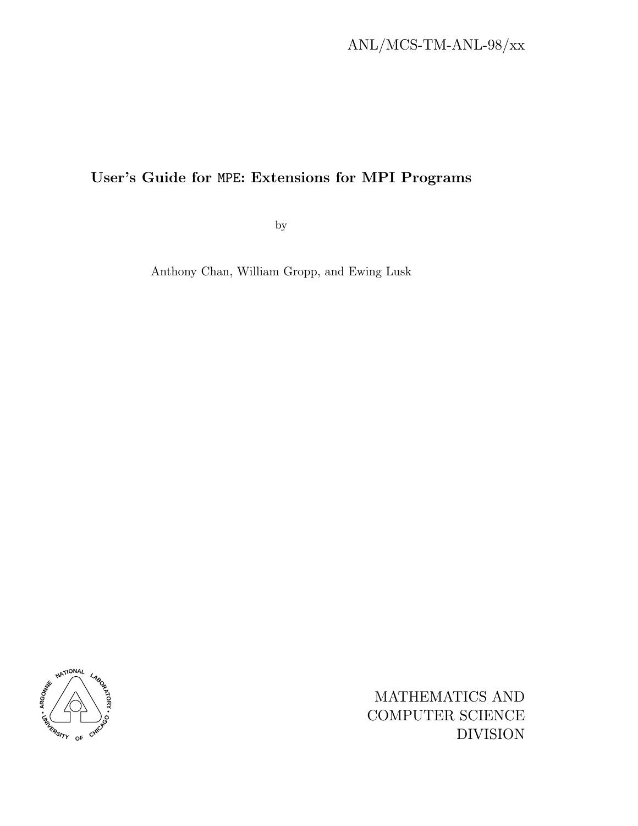# ANL/MCS-TM-ANL-98/xx

## User's Guide for MPE: Extensions for MPI Programs

by

Anthony Chan, William Gropp, and Ewing Lusk



MATHEMATICS AND COMPUTER SCIENCE DIVISION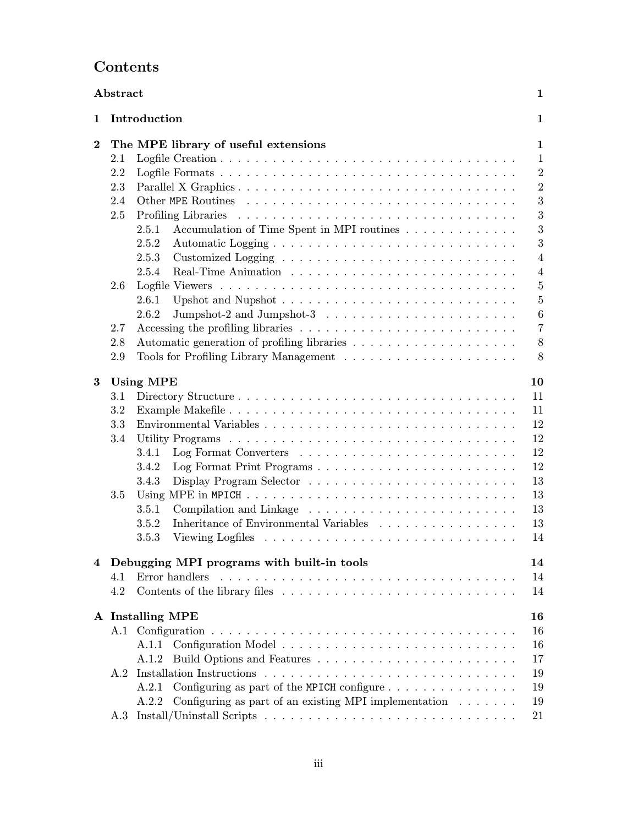# Contents

| Abstract |     |                                                                                                    |  |  |  |  |  | 1 |                  |
|----------|-----|----------------------------------------------------------------------------------------------------|--|--|--|--|--|---|------------------|
| 1        |     | Introduction                                                                                       |  |  |  |  |  |   | $\mathbf 1$      |
| $\bf{2}$ |     | The MPE library of useful extensions                                                               |  |  |  |  |  |   | $\mathbf 1$      |
|          | 2.1 |                                                                                                    |  |  |  |  |  |   | $\mathbf{1}$     |
|          | 2.2 |                                                                                                    |  |  |  |  |  |   | $\boldsymbol{2}$ |
|          | 2.3 |                                                                                                    |  |  |  |  |  |   | $\overline{2}$   |
|          | 2.4 |                                                                                                    |  |  |  |  |  |   | 3                |
|          | 2.5 |                                                                                                    |  |  |  |  |  |   | 3                |
|          |     | 2.5.1<br>Accumulation of Time Spent in MPI routines                                                |  |  |  |  |  |   | 3                |
|          |     | 2.5.2                                                                                              |  |  |  |  |  |   | 3                |
|          |     | 2.5.3                                                                                              |  |  |  |  |  |   | $\overline{4}$   |
|          |     | 2.5.4                                                                                              |  |  |  |  |  |   | $\overline{4}$   |
|          | 2.6 |                                                                                                    |  |  |  |  |  |   | $\overline{5}$   |
|          |     | 2.6.1                                                                                              |  |  |  |  |  |   | $\overline{5}$   |
|          |     | 2.6.2                                                                                              |  |  |  |  |  |   | $\boldsymbol{6}$ |
|          | 2.7 |                                                                                                    |  |  |  |  |  |   | $\overline{7}$   |
|          | 2.8 |                                                                                                    |  |  |  |  |  |   | $8\,$            |
|          | 2.9 |                                                                                                    |  |  |  |  |  |   | 8                |
| 3        |     | <b>Using MPE</b>                                                                                   |  |  |  |  |  |   | 10               |
|          | 3.1 |                                                                                                    |  |  |  |  |  |   | 11               |
|          | 3.2 |                                                                                                    |  |  |  |  |  |   | 11               |
|          | 3.3 |                                                                                                    |  |  |  |  |  |   | 12               |
|          | 3.4 |                                                                                                    |  |  |  |  |  |   | 12               |
|          |     | 3.4.1                                                                                              |  |  |  |  |  |   | 12               |
|          |     | Log Format Print Programs<br>3.4.2                                                                 |  |  |  |  |  |   | 12               |
|          |     | 3.4.3                                                                                              |  |  |  |  |  |   | 13               |
|          | 3.5 | Using MPE in MPICH $\dots \dots \dots \dots \dots \dots \dots \dots \dots \dots \dots \dots \dots$ |  |  |  |  |  |   | 13               |
|          |     | 3.5.1                                                                                              |  |  |  |  |  |   | 13               |
|          |     | Inheritance of Environmental Variables<br>3.5.2                                                    |  |  |  |  |  |   | 13               |
|          |     | 3.5.3                                                                                              |  |  |  |  |  |   | 14               |
| 4        |     | Debugging MPI programs with built-in tools                                                         |  |  |  |  |  |   | 14               |
|          | 4.1 | Error handlers                                                                                     |  |  |  |  |  |   | 14               |
|          | 4.2 |                                                                                                    |  |  |  |  |  |   | 14               |
|          |     | A Installing MPE                                                                                   |  |  |  |  |  |   | 16               |
|          |     |                                                                                                    |  |  |  |  |  |   | 16               |
|          |     | A.1.1                                                                                              |  |  |  |  |  |   | 16               |
|          |     | A.1.2                                                                                              |  |  |  |  |  |   | 17               |
|          |     |                                                                                                    |  |  |  |  |  |   | 19               |
|          |     | Configuring as part of the MPICH configure<br>A.2.1                                                |  |  |  |  |  |   | 19               |
|          |     | Configuring as part of an existing MPI implementation $\ldots \ldots$<br>A.2.2                     |  |  |  |  |  |   | 19               |
|          |     |                                                                                                    |  |  |  |  |  |   | 21               |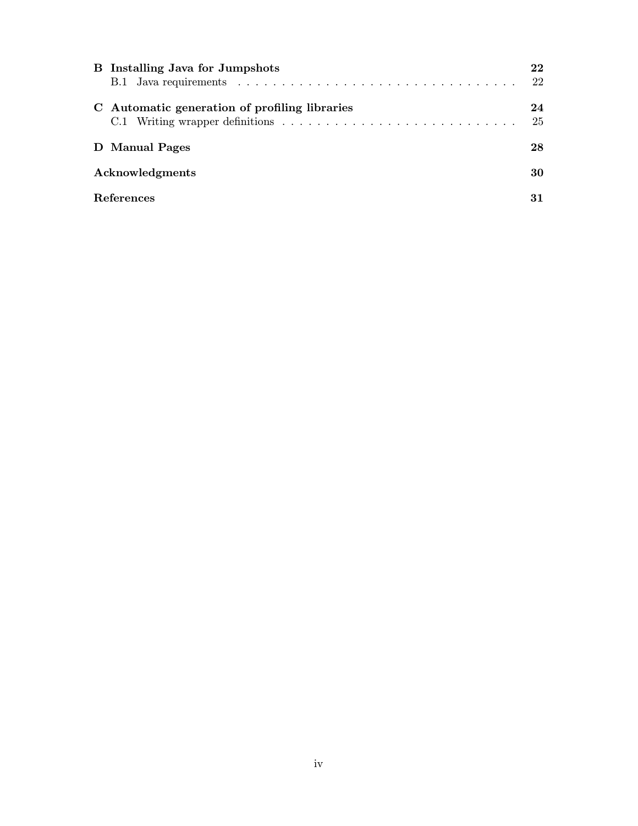| <b>B</b> Installing Java for Jumpshots        | 22 |
|-----------------------------------------------|----|
|                                               | 22 |
| C Automatic generation of profiling libraries | 24 |
|                                               | 25 |
| D Manual Pages                                | 28 |
| Acknowledgments                               | 30 |
| <b>References</b>                             | 31 |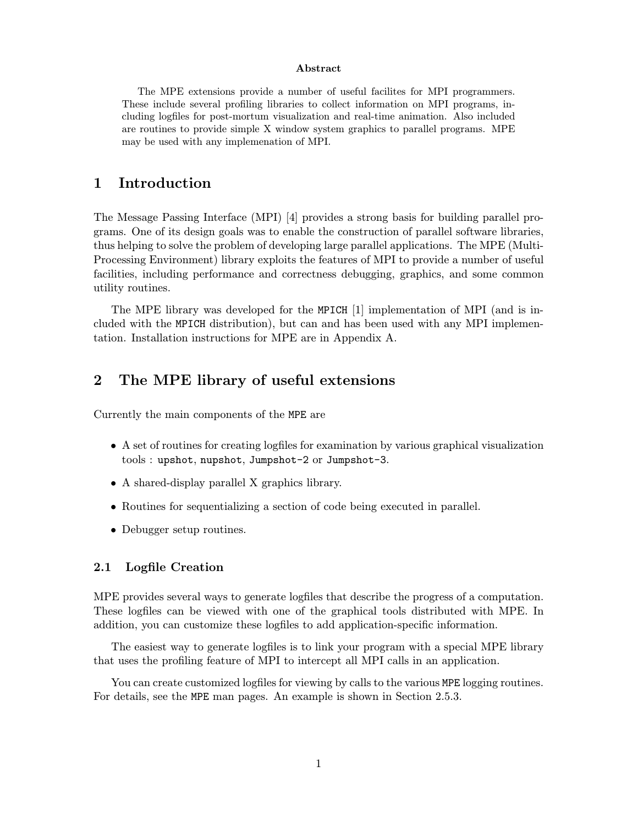#### Abstract

The MPE extensions provide a number of useful facilites for MPI programmers. These include several profiling libraries to collect information on MPI programs, including logfiles for post-mortum visualization and real-time animation. Also included are routines to provide simple X window system graphics to parallel programs. MPE may be used with any implemenation of MPI.

## 1 Introduction

The Message Passing Interface (MPI) [4] provides a strong basis for building parallel programs. One of its design goals was to enable the construction of parallel software libraries, thus helping to solve the problem of developing large parallel applications. The MPE (Multi-Processing Environment) library exploits the features of MPI to provide a number of useful facilities, including performance and correctness debugging, graphics, and some common utility routines.

The MPE library was developed for the MPICH [1] implementation of MPI (and is included with the MPICH distribution), but can and has been used with any MPI implementation. Installation instructions for MPE are in Appendix A.

## 2 The MPE library of useful extensions

Currently the main components of the MPE are

- A set of routines for creating logfiles for examination by various graphical visualization tools : upshot, nupshot, Jumpshot-2 or Jumpshot-3.
- A shared-display parallel X graphics library.
- Routines for sequentializing a section of code being executed in parallel.
- Debugger setup routines.

#### 2.1 Logfile Creation

MPE provides several ways to generate logfiles that describe the progress of a computation. These logfiles can be viewed with one of the graphical tools distributed with MPE. In addition, you can customize these logfiles to add application-specific information.

The easiest way to generate logfiles is to link your program with a special MPE library that uses the profiling feature of MPI to intercept all MPI calls in an application.

You can create customized logfiles for viewing by calls to the various MPE logging routines. For details, see the MPE man pages. An example is shown in Section 2.5.3.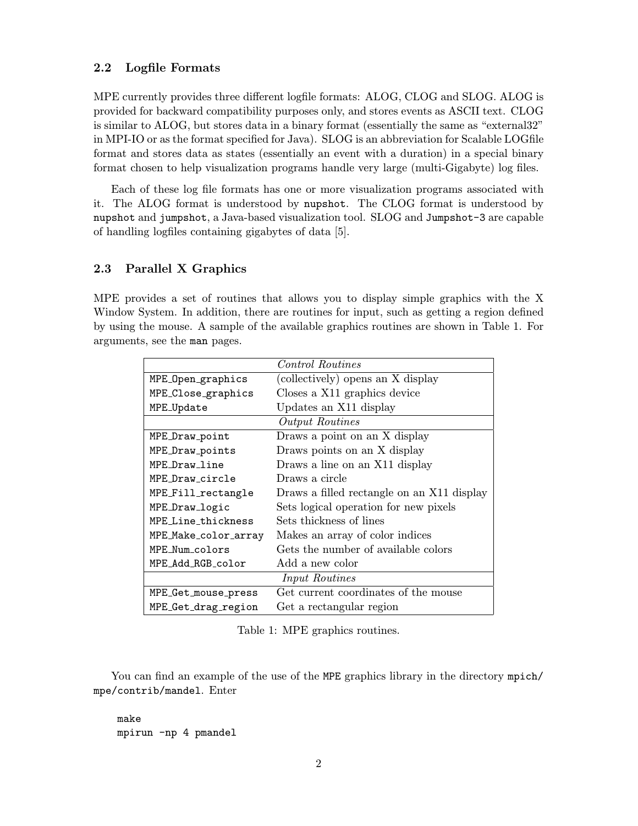#### 2.2 Logfile Formats

MPE currently provides three different logfile formats: ALOG, CLOG and SLOG. ALOG is provided for backward compatibility purposes only, and stores events as ASCII text. CLOG is similar to ALOG, but stores data in a binary format (essentially the same as "external32" in MPI-IO or as the format specified for Java). SLOG is an abbreviation for Scalable LOGfile format and stores data as states (essentially an event with a duration) in a special binary format chosen to help visualization programs handle very large (multi-Gigabyte) log files.

Each of these log file formats has one or more visualization programs associated with it. The ALOG format is understood by nupshot. The CLOG format is understood by nupshot and jumpshot, a Java-based visualization tool. SLOG and Jumpshot-3 are capable of handling logfiles containing gigabytes of data [5].

#### 2.3 Parallel X Graphics

MPE provides a set of routines that allows you to display simple graphics with the X Window System. In addition, there are routines for input, such as getting a region defined by using the mouse. A sample of the available graphics routines are shown in Table 1. For arguments, see the man pages.

|                       | <i>Control Routines</i>                    |  |  |  |  |  |  |
|-----------------------|--------------------------------------------|--|--|--|--|--|--|
| MPE_Open_graphics     | (collectively) opens an X display          |  |  |  |  |  |  |
| MPE_Close_graphics    | Closes a X11 graphics device               |  |  |  |  |  |  |
| MPE_Update            | Updates an X11 display                     |  |  |  |  |  |  |
|                       | Output Routines                            |  |  |  |  |  |  |
| MPE_Draw_point        | Draws a point on an X display              |  |  |  |  |  |  |
| MPE_Draw_points       | Draws points on an X display               |  |  |  |  |  |  |
| MPE Draw line         | Draws a line on an X11 display             |  |  |  |  |  |  |
| MPF. Draw circle      | Draws a circle                             |  |  |  |  |  |  |
| MPE_Fill_rectangle    | Draws a filled rectangle on an X11 display |  |  |  |  |  |  |
| MPE_Draw_logic        | Sets logical operation for new pixels      |  |  |  |  |  |  |
| MPF. Line thickness   | Sets thickness of lines                    |  |  |  |  |  |  |
| MPE_Make_color_array  | Makes an array of color indices            |  |  |  |  |  |  |
| MPE Num colors        | Gets the number of available colors        |  |  |  |  |  |  |
| MPE_Add_RGB_color     | Add a new color                            |  |  |  |  |  |  |
| <i>Input Routines</i> |                                            |  |  |  |  |  |  |
| MPE_Get_mouse_press   | Get current coordinates of the mouse       |  |  |  |  |  |  |
| MPE_Get_drag_region   | Get a rectangular region                   |  |  |  |  |  |  |

Table 1: MPE graphics routines.

You can find an example of the use of the MPE graphics library in the directory mpich/ mpe/contrib/mandel. Enter

make mpirun -np 4 pmandel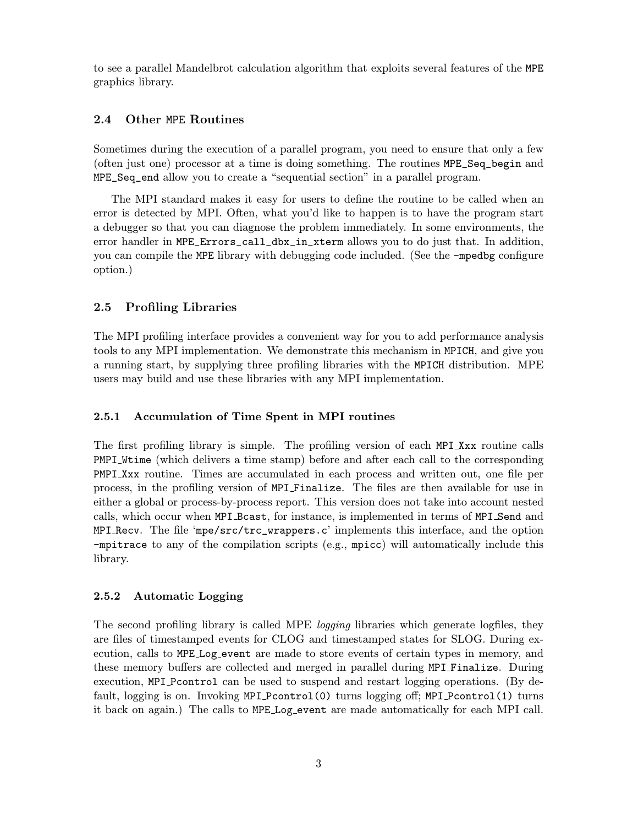to see a parallel Mandelbrot calculation algorithm that exploits several features of the MPE graphics library.

### 2.4 Other MPE Routines

Sometimes during the execution of a parallel program, you need to ensure that only a few (often just one) processor at a time is doing something. The routines MPE\_Seq\_begin and MPE\_Seq\_end allow you to create a "sequential section" in a parallel program.

The MPI standard makes it easy for users to define the routine to be called when an error is detected by MPI. Often, what you'd like to happen is to have the program start a debugger so that you can diagnose the problem immediately. In some environments, the error handler in MPE\_Errors\_call\_dbx\_in\_xterm allows you to do just that. In addition, you can compile the MPE library with debugging code included. (See the -mpedbg configure option.)

#### 2.5 Profiling Libraries

The MPI profiling interface provides a convenient way for you to add performance analysis tools to any MPI implementation. We demonstrate this mechanism in MPICH, and give you a running start, by supplying three profiling libraries with the MPICH distribution. MPE users may build and use these libraries with any MPI implementation.

#### 2.5.1 Accumulation of Time Spent in MPI routines

The first profiling library is simple. The profiling version of each MPI Xxx routine calls PMPI Wtime (which delivers a time stamp) before and after each call to the corresponding PMPI Xxx routine. Times are accumulated in each process and written out, one file per process, in the profiling version of MPI Finalize. The files are then available for use in either a global or process-by-process report. This version does not take into account nested calls, which occur when MPI Bcast, for instance, is implemented in terms of MPI Send and MPI Recv. The file 'mpe/ $src/trc_wr$  rappers.c' implements this interface, and the option -mpitrace to any of the compilation scripts (e.g., mpicc) will automatically include this library.

#### 2.5.2 Automatic Logging

The second profiling library is called MPE logging libraries which generate logfiles, they are files of timestamped events for CLOG and timestamped states for SLOG. During execution, calls to MPE Log event are made to store events of certain types in memory, and these memory buffers are collected and merged in parallel during MPI Finalize. During execution, MPI Pcontrol can be used to suspend and restart logging operations. (By default, logging is on. Invoking MPI Pcontrol(0) turns logging off; MPI Pcontrol(1) turns it back on again.) The calls to MPE Log event are made automatically for each MPI call.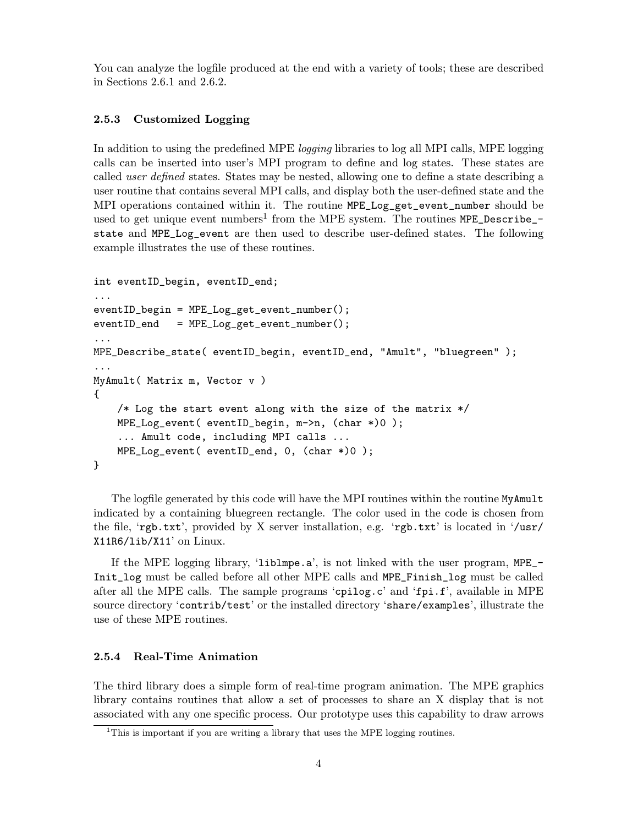You can analyze the logfile produced at the end with a variety of tools; these are described in Sections 2.6.1 and 2.6.2.

#### 2.5.3 Customized Logging

In addition to using the predefined MPE *logging* libraries to log all MPI calls, MPE logging calls can be inserted into user's MPI program to define and log states. These states are called user defined states. States may be nested, allowing one to define a state describing a user routine that contains several MPI calls, and display both the user-defined state and the MPI operations contained within it. The routine MPE\_Log\_get\_event\_number should be used to get unique event numbers<sup>1</sup> from the MPE system. The routines MPE\_Describe\_state and MPE\_Log\_event are then used to describe user-defined states. The following example illustrates the use of these routines.

```
int eventID_begin, eventID_end;
...
eventID_begin = MPE_Log_get_event_number();
eventID\_end = MPE\_Log\_get\_event\_number();
...
MPE_Describe_state( eventID_begin, eventID_end, "Amult", "bluegreen" );
...
MyAmult( Matrix m, Vector v )
{
    /* Log the start event along with the size of the matrix */MPE_Log_event( eventID_begin, m->n, (char *)0 );
    ... Amult code, including MPI calls ...
    MPE_Log_event( eventID_end, 0, (char *)0 );
}
```
The logfile generated by this code will have the MPI routines within the routine MyAmult indicated by a containing bluegreen rectangle. The color used in the code is chosen from the file, 'rgb.txt', provided by X server installation, e.g. 'rgb.txt' is located in '/usr/ X11R6/lib/X11' on Linux.

If the MPE logging library, 'liblmpe.a', is not linked with the user program, MPE\_- Init\_log must be called before all other MPE calls and MPE\_Finish\_log must be called after all the MPE calls. The sample programs 'cpilog.c' and 'fpi.f', available in MPE source directory 'contrib/test' or the installed directory 'share/examples', illustrate the use of these MPE routines.

#### 2.5.4 Real-Time Animation

The third library does a simple form of real-time program animation. The MPE graphics library contains routines that allow a set of processes to share an X display that is not associated with any one specific process. Our prototype uses this capability to draw arrows

<sup>&</sup>lt;sup>1</sup>This is important if you are writing a library that uses the MPE logging routines.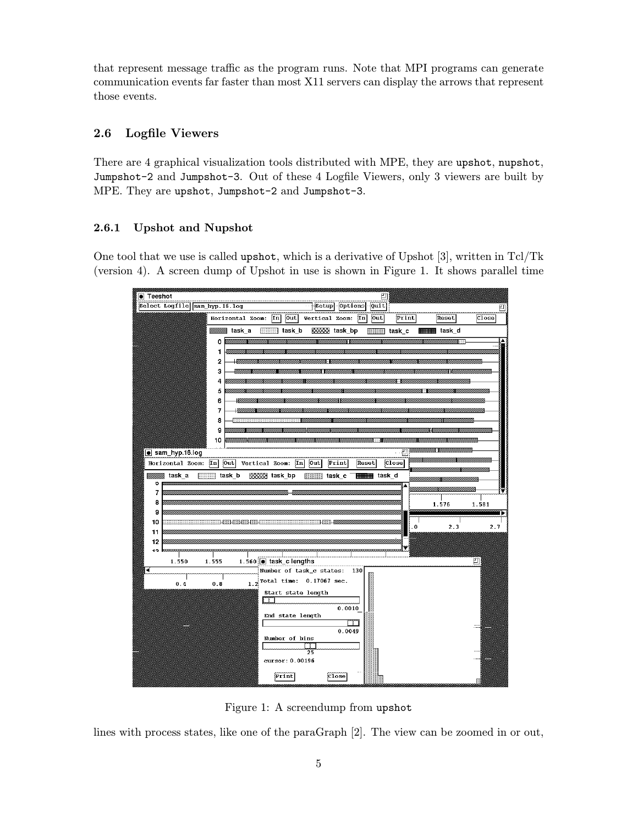that represent message traffic as the program runs. Note that MPI programs can generate communication events far faster than most X11 servers can display the arrows that represent those events.

## 2.6 Logfile Viewers

There are 4 graphical visualization tools distributed with MPE, they are upshot, nupshot, Jumpshot-2 and Jumpshot-3. Out of these 4 Logfile Viewers, only 3 viewers are built by MPE. They are upshot, Jumpshot-2 and Jumpshot-3.

## 2.6.1 Upshot and Nupshot

One tool that we use is called upshot, which is a derivative of Upshot [3], written in Tcl/Tk (version 4). A screen dump of Upshot in use is shown in Figure 1. It shows parallel time

| <b>Teeshot</b><br>凹                                                                                                                           |       |
|-----------------------------------------------------------------------------------------------------------------------------------------------|-------|
| Select Logfile sam_hyp.16.log<br>Setup Options<br>Quit                                                                                        | 凹     |
| out<br>out<br>Print<br>$\mathbf{In}$<br>$\lfloor \text{Im} \rfloor$<br>Reset<br>Horizontal Zoom:<br>Vertical Zoom:                            | Close |
| task a<br>task b<br><b>BBBBB</b> task bp<br><b>HIIIIIII</b> task d<br>task c                                                                  |       |
| 0                                                                                                                                             |       |
| 1                                                                                                                                             |       |
| 2<br>з                                                                                                                                        |       |
| 4                                                                                                                                             |       |
| 5                                                                                                                                             |       |
| 6                                                                                                                                             |       |
| 7                                                                                                                                             |       |
| 8<br>9                                                                                                                                        |       |
| 10                                                                                                                                            |       |
| ·巴<br>sam_hyp.16.log                                                                                                                          |       |
| [Out]<br>$\overline{[}\overline{[}n]$<br>Out<br>Print<br>Reset<br>Close<br>$\overline{[}\overline{[}n]$<br>Horizontal Zoom:<br>Vertical Zoom: |       |
| <b>HIIIIIIIII</b> III task_d<br>task_a<br>িয়ার task_b<br><b>BBBBBB</b> task_bp<br>task c                                                     |       |
| о<br>Á                                                                                                                                        | w     |
| 7<br>8                                                                                                                                        |       |
| 1.576<br>9                                                                                                                                    | 1.581 |
| 10<br>2.3<br>$\bf{0}$                                                                                                                         | 2.7   |
| 11                                                                                                                                            |       |
| 12<br>10                                                                                                                                      |       |
| 1.560   task_c lengths<br>1.550<br>1.555                                                                                                      | 凹     |
| Number of task_c states:<br>-4<br>130                                                                                                         |       |
| $1.2$ Total time: 0.17067 sec.<br>0.4<br>0.8                                                                                                  |       |
| Start state length                                                                                                                            |       |
| 0.0010                                                                                                                                        |       |
| End state length                                                                                                                              |       |
| רד<br>0.0049                                                                                                                                  |       |
| Number of bins                                                                                                                                |       |
| 25                                                                                                                                            |       |
| cursor: 0.00196                                                                                                                               |       |
| Print<br>Close                                                                                                                                |       |

Figure 1: A screendump from upshot

lines with process states, like one of the paraGraph [2]. The view can be zoomed in or out,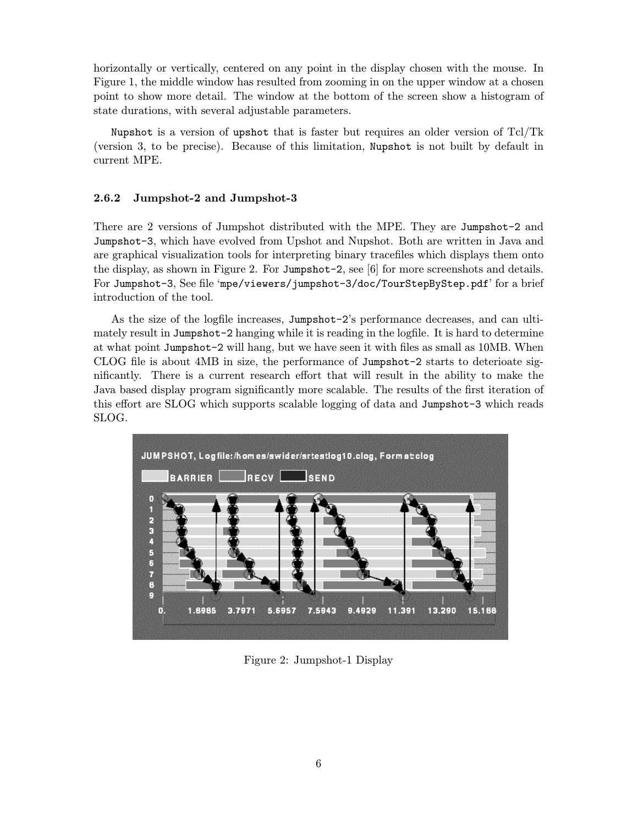horizontally or vertically, centered on any point in the display chosen with the mouse. In Figure 1, the middle window has resulted from zooming in on the upper window at a chosen point to show more detail. The window at the bottom of the screen show a histogram of state durations, with several adjustable parameters.

Nupshot is a version of upshot that is faster but requires an older version of Tcl/Tk (version 3, to be precise). Because of this limitation, Nupshot is not built by default in current MPE.

#### 2.6.2 Jumpshot-2 and Jumpshot-3

There are 2 versions of Jumpshot distributed with the MPE. They are Jumpshot-2 and Jumpshot-3, which have evolved from Upshot and Nupshot. Both are written in Java and are graphical visualization tools for interpreting binary tracefiles which displays them onto the display, as shown in Figure 2. For Jumpshot-2, see [6] for more screenshots and details. For Jumpshot-3, See file 'mpe/viewers/jumpshot-3/doc/TourStepByStep.pdf' for a brief introduction of the tool.

As the size of the logfile increases, Jumpshot-2's performance decreases, and can ultimately result in Jumpshot-2 hanging while it is reading in the logfile. It is hard to determine at what point Jumpshot-2 will hang, but we have seen it with files as small as 10MB. When CLOG file is about 4MB in size, the performance of Jumpshot-2 starts to deterioate significantly. There is a current research effort that will result in the ability to make the Java based display program significantly more scalable. The results of the first iteration of this effort are SLOG which supports scalable logging of data and Jumpshot-3 which reads SLOG.



Figure 2: Jumpshot-1 Display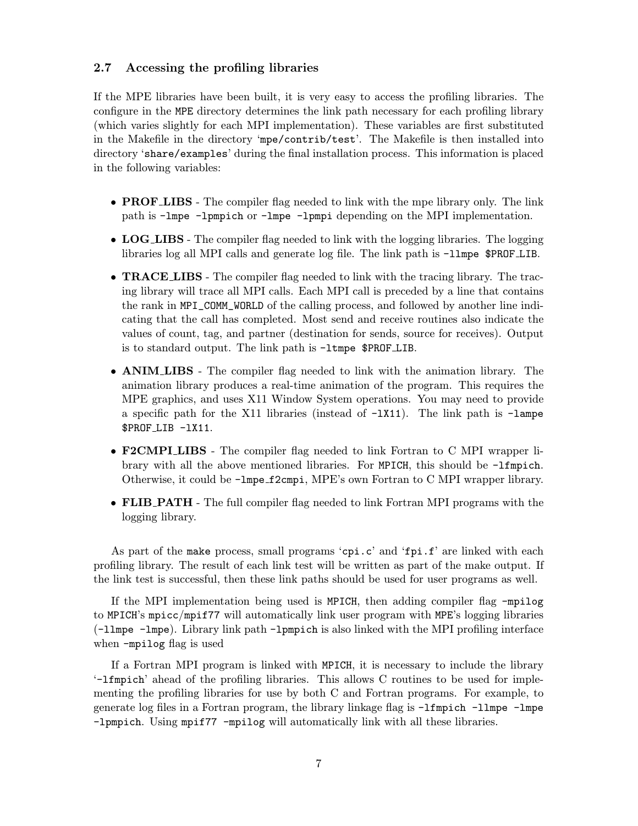### 2.7 Accessing the profiling libraries

If the MPE libraries have been built, it is very easy to access the profiling libraries. The configure in the MPE directory determines the link path necessary for each profiling library (which varies slightly for each MPI implementation). These variables are first substituted in the Makefile in the directory 'mpe/contrib/test'. The Makefile is then installed into directory 'share/examples' during the final installation process. This information is placed in the following variables:

- **PROF LIBS** The compiler flag needed to link with the mpe library only. The link path is -lmpe -lpmpich or -lmpe -lpmpi depending on the MPI implementation.
- LOG\_LIBS The compiler flag needed to link with the logging libraries. The logging libraries log all MPI calls and generate log file. The link path is -llmpe \$PROF LIB.
- **TRACE LIBS** The compiler flag needed to link with the tracing library. The tracing library will trace all MPI calls. Each MPI call is preceded by a line that contains the rank in MPI\_COMM\_WORLD of the calling process, and followed by another line indicating that the call has completed. Most send and receive routines also indicate the values of count, tag, and partner (destination for sends, source for receives). Output is to standard output. The link path is -ltmpe \$PROF LIB.
- ANIM LIBS The compiler flag needed to link with the animation library. The animation library produces a real-time animation of the program. This requires the MPE graphics, and uses X11 Window System operations. You may need to provide a specific path for the X11 libraries (instead of  $-LX11$ ). The link path is  $-LA$ \$PROF LIB -lX11.
- F2CMPI LIBS The compiler flag needed to link Fortran to C MPI wrapper library with all the above mentioned libraries. For MPICH, this should be -lfmpich. Otherwise, it could be -lmpe f2cmpi, MPE's own Fortran to C MPI wrapper library.
- FLIB\_PATH The full compiler flag needed to link Fortran MPI programs with the logging library.

As part of the make process, small programs 'cpi.c' and 'fpi.f' are linked with each profiling library. The result of each link test will be written as part of the make output. If the link test is successful, then these link paths should be used for user programs as well.

If the MPI implementation being used is MPICH, then adding compiler flag -mpilog to MPICH's mpicc/mpif77 will automatically link user program with MPE's logging libraries (-llmpe -lmpe). Library link path -lpmpich is also linked with the MPI profiling interface when -mpilog flag is used

If a Fortran MPI program is linked with MPICH, it is necessary to include the library '-lfmpich' ahead of the profiling libraries. This allows C routines to be used for implementing the profiling libraries for use by both C and Fortran programs. For example, to generate log files in a Fortran program, the library linkage flag is -lfmpich -llmpe -lmpe -lpmpich. Using mpif77 -mpilog will automatically link with all these libraries.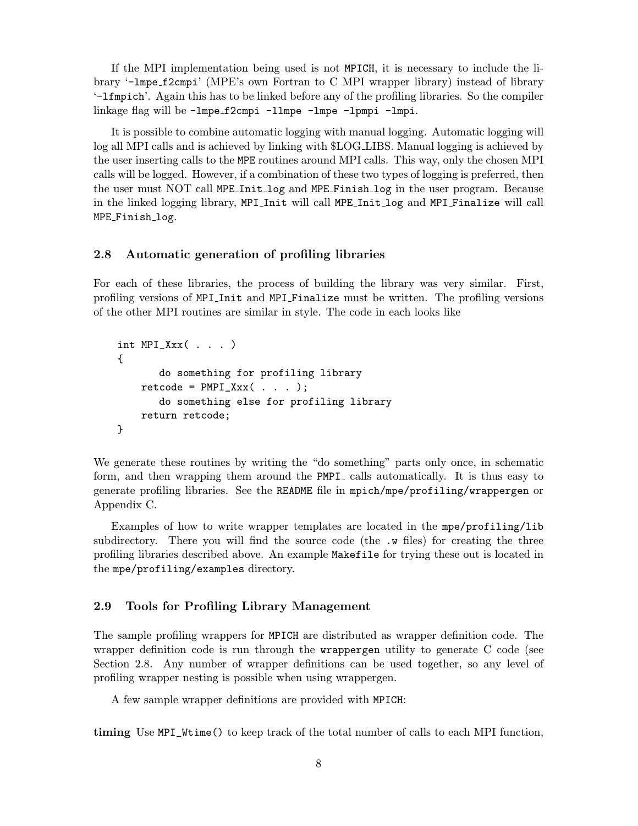If the MPI implementation being used is not MPICH, it is necessary to include the library '-lmpe f2cmpi' (MPE's own Fortran to C MPI wrapper library) instead of library '-lfmpich'. Again this has to be linked before any of the profiling libraries. So the compiler linkage flag will be -lmpe f2cmpi -llmpe -lmpe -lpmpi -lmpi.

It is possible to combine automatic logging with manual logging. Automatic logging will log all MPI calls and is achieved by linking with \$LOG LIBS. Manual logging is achieved by the user inserting calls to the MPE routines around MPI calls. This way, only the chosen MPI calls will be logged. However, if a combination of these two types of logging is preferred, then the user must NOT call MPE Init log and MPE Finish log in the user program. Because in the linked logging library, MPI Init will call MPE Init log and MPI Finalize will call MPE Finish log.

### 2.8 Automatic generation of profiling libraries

For each of these libraries, the process of building the library was very similar. First, profiling versions of MPI<sub>-</sub>Init and MPI<sub>-Finalize must be written. The profiling versions</sub> of the other MPI routines are similar in style. The code in each looks like

```
int MPI_Xxx( . . . ){
       do something for profiling library
    retcode = PMPI_Xxx( . . . );
       do something else for profiling library
    return retcode;
}
```
We generate these routines by writing the "do something" parts only once, in schematic form, and then wrapping them around the PMPI<sub>-calls</sub> automatically. It is thus easy to generate profiling libraries. See the README file in mpich/mpe/profiling/wrappergen or Appendix C.

Examples of how to write wrapper templates are located in the mpe/profiling/lib subdirectory. There you will find the source code (the  $\cdot$  w files) for creating the three profiling libraries described above. An example Makefile for trying these out is located in the mpe/profiling/examples directory.

#### 2.9 Tools for Profiling Library Management

The sample profiling wrappers for MPICH are distributed as wrapper definition code. The wrapper definition code is run through the wrappergen utility to generate C code (see Section 2.8. Any number of wrapper definitions can be used together, so any level of profiling wrapper nesting is possible when using wrappergen.

A few sample wrapper definitions are provided with MPICH:

timing Use MPI\_Wtime() to keep track of the total number of calls to each MPI function,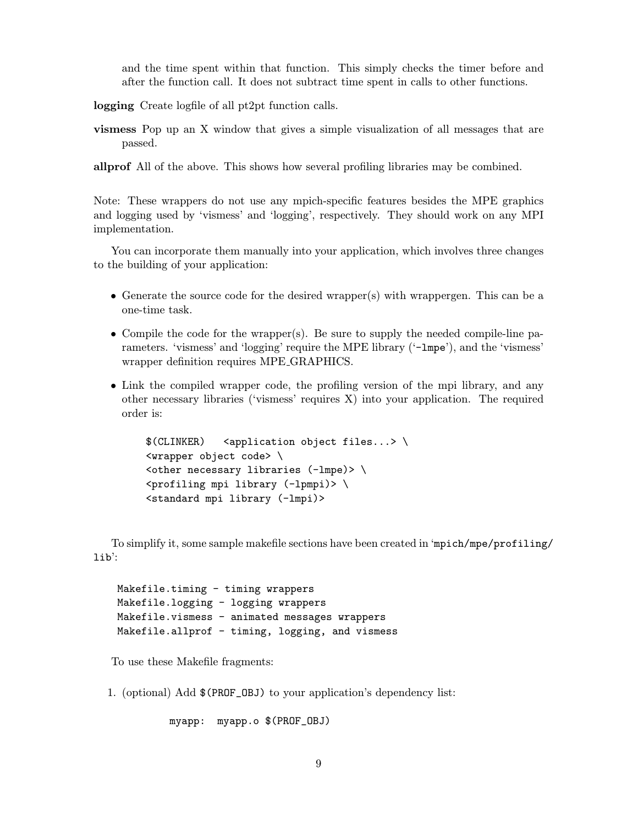and the time spent within that function. This simply checks the timer before and after the function call. It does not subtract time spent in calls to other functions.

logging Create logfile of all pt2pt function calls.

vismess Pop up an X window that gives a simple visualization of all messages that are passed.

allprof All of the above. This shows how several profiling libraries may be combined.

Note: These wrappers do not use any mpich-specific features besides the MPE graphics and logging used by 'vismess' and 'logging', respectively. They should work on any MPI implementation.

You can incorporate them manually into your application, which involves three changes to the building of your application:

- Generate the source code for the desired wrapper(s) with wrappergen. This can be a one-time task.
- Compile the code for the wrapper(s). Be sure to supply the needed compile-line parameters. 'vismess' and 'logging' require the MPE library ('-1mpe'), and the 'vismess' wrapper definition requires MPE GRAPHICS.
- Link the compiled wrapper code, the profiling version of the mpi library, and any other necessary libraries ('vismess' requires X) into your application. The required order is:

```
$(CLINKER) <application object files...> \
<wrapper object code> \
\left\{\text{other necessary libraries (-lmpe)}\right\}\gamma <profiling mpi library (-lpmpi)> \
<standard mpi library (-lmpi)>
```
To simplify it, some sample makefile sections have been created in 'mpich/mpe/profiling/ lib':

Makefile.timing - timing wrappers Makefile.logging - logging wrappers Makefile.vismess - animated messages wrappers Makefile.allprof - timing, logging, and vismess

To use these Makefile fragments:

1. (optional) Add \$(PROF\_OBJ) to your application's dependency list:

myapp: myapp.o \$(PROF\_OBJ)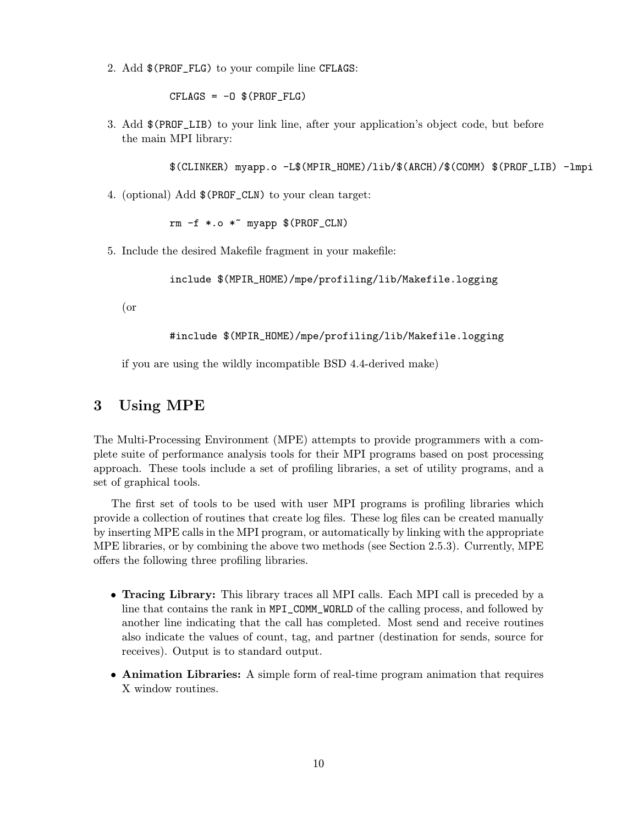2. Add \$(PROF\_FLG) to your compile line CFLAGS:

 $CFLAGS = -0$   $$(PROF_FLG)$ 

3. Add \$(PROF\_LIB) to your link line, after your application's object code, but before the main MPI library:

\$(CLINKER) myapp.o -L\$(MPIR\_HOME)/lib/\$(ARCH)/\$(COMM) \$(PROF\_LIB) -lmpi

4. (optional) Add \$(PROF\_CLN) to your clean target:

 $rm -f * .o *^ myapp * (PROF_CLN)$ 

5. Include the desired Makefile fragment in your makefile:

include \$(MPIR\_HOME)/mpe/profiling/lib/Makefile.logging

(or

#include \$(MPIR\_HOME)/mpe/profiling/lib/Makefile.logging

if you are using the wildly incompatible BSD 4.4-derived make)

## 3 Using MPE

The Multi-Processing Environment (MPE) attempts to provide programmers with a complete suite of performance analysis tools for their MPI programs based on post processing approach. These tools include a set of profiling libraries, a set of utility programs, and a set of graphical tools.

The first set of tools to be used with user MPI programs is profiling libraries which provide a collection of routines that create log files. These log files can be created manually by inserting MPE calls in the MPI program, or automatically by linking with the appropriate MPE libraries, or by combining the above two methods (see Section 2.5.3). Currently, MPE offers the following three profiling libraries.

- Tracing Library: This library traces all MPI calls. Each MPI call is preceded by a line that contains the rank in MPI\_COMM\_WORLD of the calling process, and followed by another line indicating that the call has completed. Most send and receive routines also indicate the values of count, tag, and partner (destination for sends, source for receives). Output is to standard output.
- Animation Libraries: A simple form of real-time program animation that requires X window routines.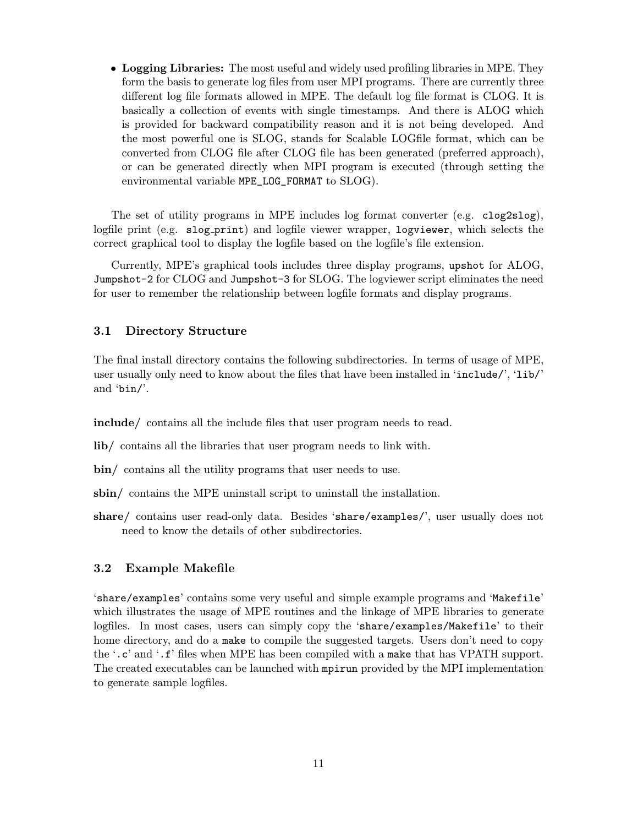• Logging Libraries: The most useful and widely used profiling libraries in MPE. They form the basis to generate log files from user MPI programs. There are currently three different log file formats allowed in MPE. The default log file format is CLOG. It is basically a collection of events with single timestamps. And there is ALOG which is provided for backward compatibility reason and it is not being developed. And the most powerful one is SLOG, stands for Scalable LOGfile format, which can be converted from CLOG file after CLOG file has been generated (preferred approach), or can be generated directly when MPI program is executed (through setting the environmental variable MPE\_LOG\_FORMAT to SLOG).

The set of utility programs in MPE includes log format converter (e.g. clog2slog), logfile print (e.g. slog-print) and logfile viewer wrapper, logviewer, which selects the correct graphical tool to display the logfile based on the logfile's file extension.

Currently, MPE's graphical tools includes three display programs, upshot for ALOG, Jumpshot-2 for CLOG and Jumpshot-3 for SLOG. The logviewer script eliminates the need for user to remember the relationship between logfile formats and display programs.

#### 3.1 Directory Structure

The final install directory contains the following subdirectories. In terms of usage of MPE, user usually only need to know about the files that have been installed in 'include/', 'lib/' and 'bin/'.

include/ contains all the include files that user program needs to read.

- lib/ contains all the libraries that user program needs to link with.
- bin/ contains all the utility programs that user needs to use.
- sbin/ contains the MPE uninstall script to uninstall the installation.
- share/ contains user read-only data. Besides 'share/examples/', user usually does not need to know the details of other subdirectories.

#### 3.2 Example Makefile

'share/examples' contains some very useful and simple example programs and 'Makefile' which illustrates the usage of MPE routines and the linkage of MPE libraries to generate logfiles. In most cases, users can simply copy the 'share/examples/Makefile' to their home directory, and do a make to compile the suggested targets. Users don't need to copy the '.c' and '.f' files when MPE has been compiled with a make that has VPATH support. The created executables can be launched with mpirun provided by the MPI implementation to generate sample logfiles.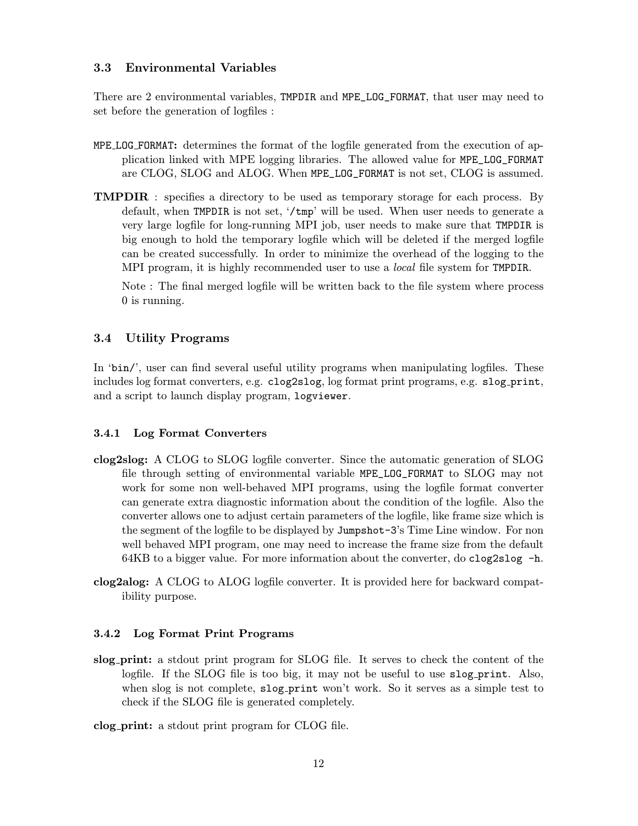### 3.3 Environmental Variables

There are 2 environmental variables, TMPDIR and MPE\_LOG\_FORMAT, that user may need to set before the generation of logfiles :

- MPE LOG FORMAT: determines the format of the logfile generated from the execution of application linked with MPE logging libraries. The allowed value for MPE\_LOG\_FORMAT are CLOG, SLOG and ALOG. When MPE\_LOG\_FORMAT is not set, CLOG is assumed.
- **TMPDIR** : specifies a directory to be used as temporary storage for each process. By default, when TMPDIR is not set, '/tmp' will be used. When user needs to generate a very large logfile for long-running MPI job, user needs to make sure that TMPDIR is big enough to hold the temporary logfile which will be deleted if the merged logfile can be created successfully. In order to minimize the overhead of the logging to the MPI program, it is highly recommended user to use a *local* file system for TMPDIR.

Note : The final merged logfile will be written back to the file system where process 0 is running.

#### 3.4 Utility Programs

In 'bin/', user can find several useful utility programs when manipulating logfiles. These includes log format converters, e.g. clog2slog, log format print programs, e.g. slog print, and a script to launch display program, logviewer.

#### 3.4.1 Log Format Converters

- clog2slog: A CLOG to SLOG logfile converter. Since the automatic generation of SLOG file through setting of environmental variable MPE\_LOG\_FORMAT to SLOG may not work for some non well-behaved MPI programs, using the logfile format converter can generate extra diagnostic information about the condition of the logfile. Also the converter allows one to adjust certain parameters of the logfile, like frame size which is the segment of the logfile to be displayed by Jumpshot-3's Time Line window. For non well behaved MPI program, one may need to increase the frame size from the default  $64KB$  to a bigger value. For more information about the converter, do clog2slog  $-h$ .
- clog2alog: A CLOG to ALOG logfile converter. It is provided here for backward compatibility purpose.

#### 3.4.2 Log Format Print Programs

slog print: a stdout print program for SLOG file. It serves to check the content of the logfile. If the SLOG file is too big, it may not be useful to use slog print. Also, when slog is not complete, slog-print won't work. So it serves as a simple test to check if the SLOG file is generated completely.

clog print: a stdout print program for CLOG file.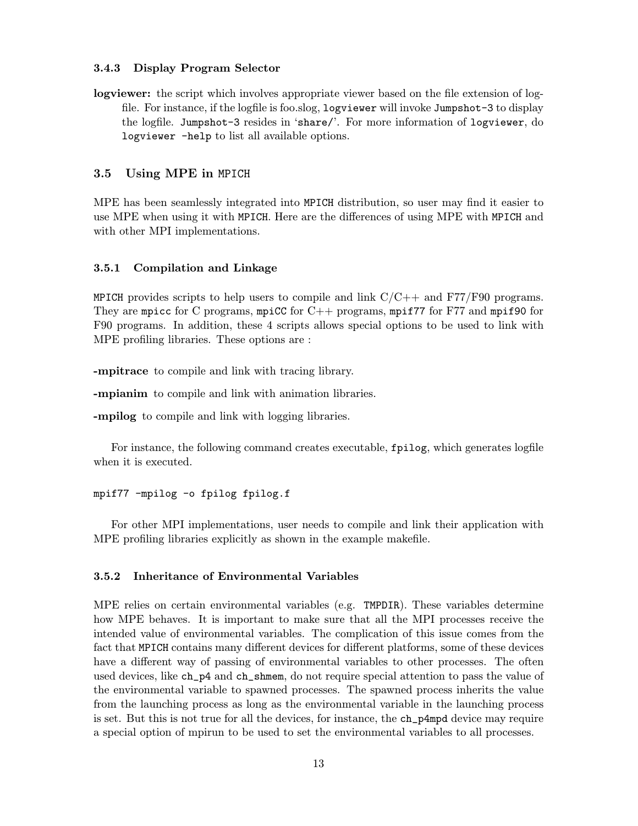#### 3.4.3 Display Program Selector

logviewer: the script which involves appropriate viewer based on the file extension of logfile. For instance, if the logfile is foo.slog, logviewer will invoke Jumpshot-3 to display the logfile. Jumpshot-3 resides in 'share/'. For more information of logviewer, do logviewer -help to list all available options.

#### 3.5 Using MPE in MPICH

MPE has been seamlessly integrated into MPICH distribution, so user may find it easier to use MPE when using it with MPICH. Here are the differences of using MPE with MPICH and with other MPI implementations.

#### 3.5.1 Compilation and Linkage

MPICH provides scripts to help users to compile and link  $C/C++$  and  $F77/F90$  programs. They are mpicc for C programs, mpiCC for C++ programs, mpif77 for F77 and mpif90 for F90 programs. In addition, these 4 scripts allows special options to be used to link with MPE profiling libraries. These options are :

-mpitrace to compile and link with tracing library.

-mpianim to compile and link with animation libraries.

-mpilog to compile and link with logging libraries.

For instance, the following command creates executable, fpilog, which generates logfile when it is executed.

#### mpif77 -mpilog -o fpilog fpilog.f

For other MPI implementations, user needs to compile and link their application with MPE profiling libraries explicitly as shown in the example makefile.

#### 3.5.2 Inheritance of Environmental Variables

MPE relies on certain environmental variables (e.g. TMPDIR). These variables determine how MPE behaves. It is important to make sure that all the MPI processes receive the intended value of environmental variables. The complication of this issue comes from the fact that MPICH contains many different devices for different platforms, some of these devices have a different way of passing of environmental variables to other processes. The often used devices, like ch\_p4 and ch\_shmem, do not require special attention to pass the value of the environmental variable to spawned processes. The spawned process inherits the value from the launching process as long as the environmental variable in the launching process is set. But this is not true for all the devices, for instance, the ch\_p4mpd device may require a special option of mpirun to be used to set the environmental variables to all processes.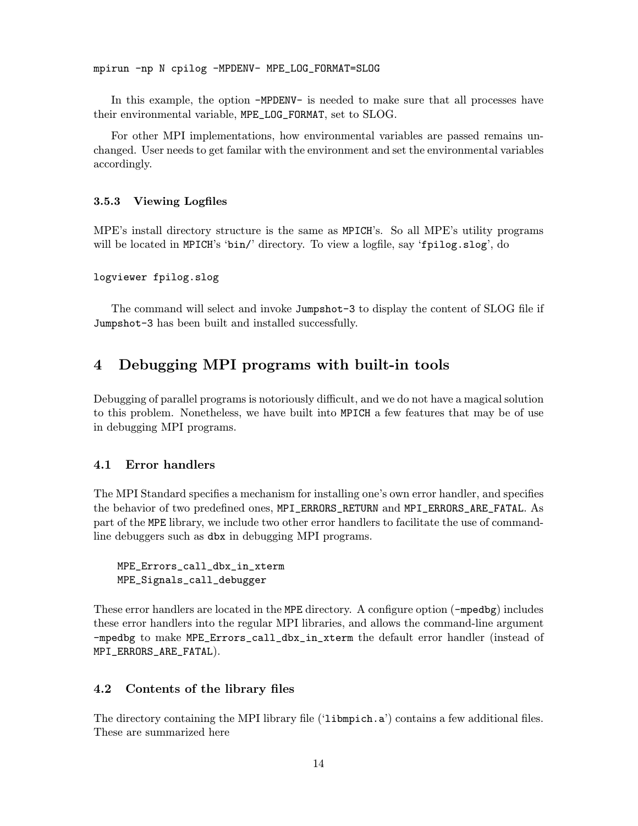mpirun -np N cpilog -MPDENV- MPE\_LOG\_FORMAT=SLOG

In this example, the option -MPDENV- is needed to make sure that all processes have their environmental variable, MPE\_LOG\_FORMAT, set to SLOG.

For other MPI implementations, how environmental variables are passed remains unchanged. User needs to get familar with the environment and set the environmental variables accordingly.

#### 3.5.3 Viewing Logfiles

MPE's install directory structure is the same as MPICH's. So all MPE's utility programs will be located in MPICH's 'bin/' directory. To view a logfile, say 'fpilog.slog', do

```
logviewer fpilog.slog
```
The command will select and invoke Jumpshot-3 to display the content of SLOG file if Jumpshot-3 has been built and installed successfully.

## 4 Debugging MPI programs with built-in tools

Debugging of parallel programs is notoriously difficult, and we do not have a magical solution to this problem. Nonetheless, we have built into MPICH a few features that may be of use in debugging MPI programs.

### 4.1 Error handlers

The MPI Standard specifies a mechanism for installing one's own error handler, and specifies the behavior of two predefined ones, MPI\_ERRORS\_RETURN and MPI\_ERRORS\_ARE\_FATAL. As part of the MPE library, we include two other error handlers to facilitate the use of commandline debuggers such as dbx in debugging MPI programs.

```
MPE_Errors_call_dbx_in_xterm
MPE_Signals_call_debugger
```
These error handlers are located in the MPE directory. A configure option (-mpedbg) includes these error handlers into the regular MPI libraries, and allows the command-line argument -mpedbg to make MPE\_Errors\_call\_dbx\_in\_xterm the default error handler (instead of MPI\_ERRORS\_ARE\_FATAL).

### 4.2 Contents of the library files

The directory containing the MPI library file ('libmpich.a') contains a few additional files. These are summarized here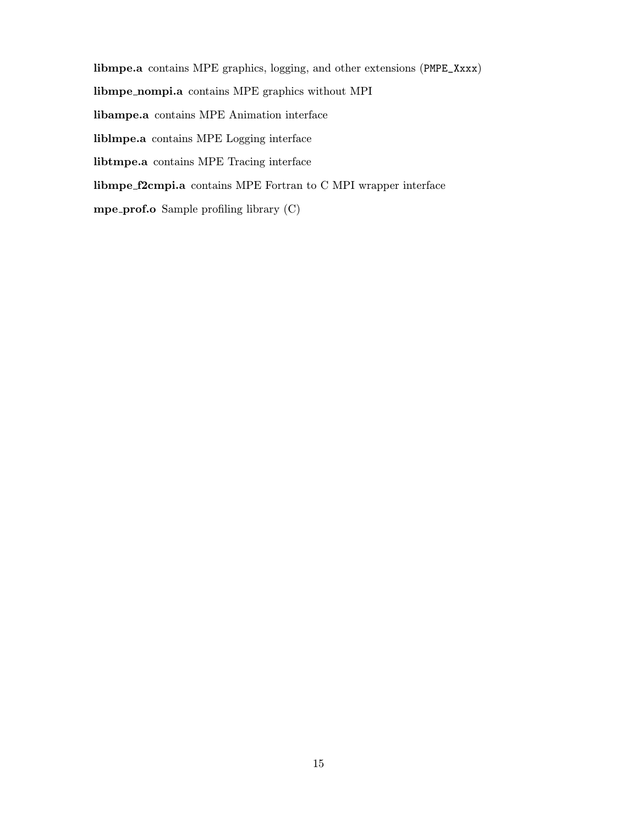libmpe.a contains MPE graphics, logging, and other extensions (PMPE\_Xxxx) libmpe nompi.a contains MPE graphics without MPI libampe.a contains MPE Animation interface liblmpe.a contains MPE Logging interface libtmpe.a contains MPE Tracing interface libmpe f2cmpi.a contains MPE Fortran to C MPI wrapper interface mpe prof.o Sample profiling library (C)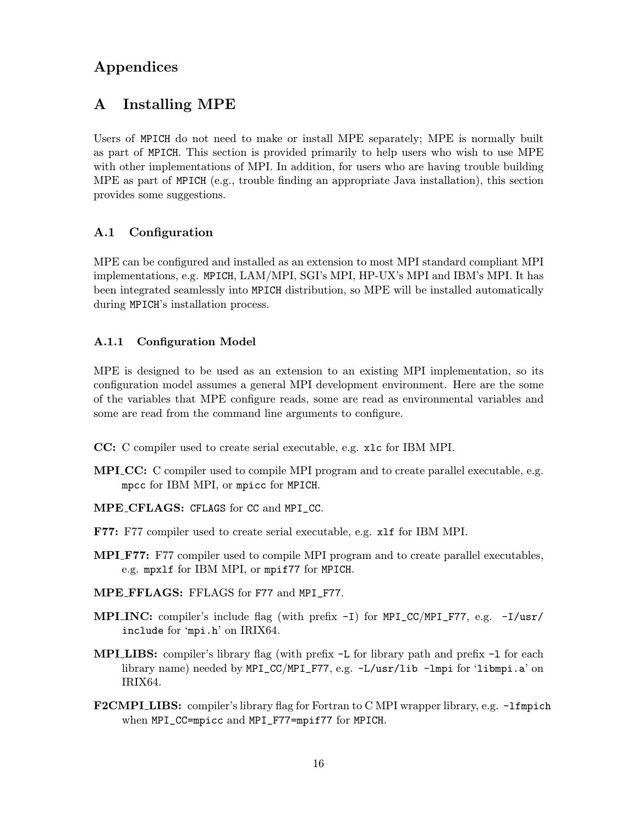## Appendices

## A Installing MPE

Users of MPICH do not need to make or install MPE separately; MPE is normally built as part of MPICH. This section is provided primarily to help users who wish to use MPE with other implementations of MPI. In addition, for users who are having trouble building MPE as part of MPICH (e.g., trouble finding an appropriate Java installation), this section provides some suggestions.

## A.1 Configuration

MPE can be configured and installed as an extension to most MPI standard compliant MPI implementations, e.g. MPICH, LAM/MPI, SGI's MPI, HP-UX's MPI and IBM's MPI. It has been integrated seamlessly into MPICH distribution, so MPE will be installed automatically during MPICH's installation process.

#### A.1.1 Configuration Model

MPE is designed to be used as an extension to an existing MPI implementation, so its configuration model assumes a general MPI development environment. Here are the some of the variables that MPE configure reads, some are read as environmental variables and some are read from the command line arguments to configure.

- CC: C compiler used to create serial executable, e.g. xlc for IBM MPI.
- **MPI\_CC:** C compiler used to compile MPI program and to create parallel executable, e.g. mpcc for IBM MPI, or mpicc for MPICH.
- MPE CFLAGS: CFLAGS for CC and MPI\_CC.
- F77: F77 compiler used to create serial executable, e.g. xlf for IBM MPI.
- **MPI\_F77:** F77 compiler used to compile MPI program and to create parallel executables, e.g. mpxlf for IBM MPI, or mpif77 for MPICH.
- MPE FFLAGS: FFLAGS for F77 and MPI\_F77.
- **MPI INC:** compiler's include flag (with prefix  $-I$ ) for MPI\_CC/MPI\_F77, e.g.  $-I$ /usr/ include for 'mpi.h' on IRIX64.
- MPI LIBS: compiler's library flag (with prefix  $-L$  for library path and prefix  $-L$  for each library name) needed by MPI\_CC/MPI\_F77, e.g. -L/usr/lib -lmpi for 'libmpi.a' on IRIX64.
- F2CMPI LIBS: compiler's library flag for Fortran to C MPI wrapper library, e.g. -1fmpich when MPI\_CC=mpicc and MPI\_F77=mpif77 for MPICH.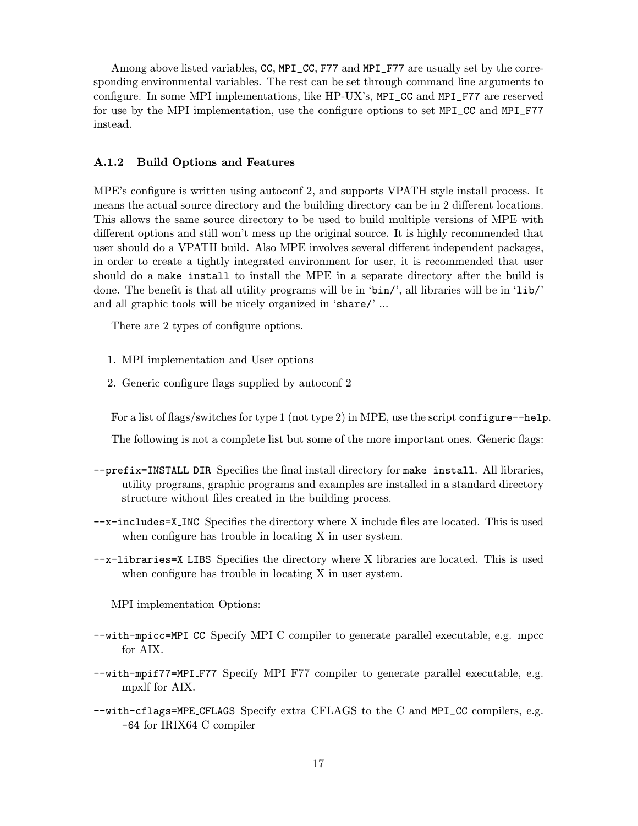Among above listed variables, CC, MPI\_CC, F77 and MPI\_F77 are usually set by the corresponding environmental variables. The rest can be set through command line arguments to configure. In some MPI implementations, like HP-UX's, MPI\_CC and MPI\_F77 are reserved for use by the MPI implementation, use the configure options to set MPI\_CC and MPI\_F77 instead.

#### A.1.2 Build Options and Features

MPE's configure is written using autoconf 2, and supports VPATH style install process. It means the actual source directory and the building directory can be in 2 different locations. This allows the same source directory to be used to build multiple versions of MPE with different options and still won't mess up the original source. It is highly recommended that user should do a VPATH build. Also MPE involves several different independent packages, in order to create a tightly integrated environment for user, it is recommended that user should do a make install to install the MPE in a separate directory after the build is done. The benefit is that all utility programs will be in 'bin/', all libraries will be in 'lib/' and all graphic tools will be nicely organized in 'share/' ...

There are 2 types of configure options.

- 1. MPI implementation and User options
- 2. Generic configure flags supplied by autoconf 2

For a list of flags/switches for type 1 (not type 2) in MPE, use the script configure--help.

The following is not a complete list but some of the more important ones. Generic flags:

- --prefix=INSTALL DIR Specifies the final install directory for make install. All libraries, utility programs, graphic programs and examples are installed in a standard directory structure without files created in the building process.
- --x-includes=X INC Specifies the directory where X include files are located. This is used when configure has trouble in locating X in user system.
- --x-libraries=X LIBS Specifies the directory where X libraries are located. This is used when configure has trouble in locating X in user system.

MPI implementation Options:

- --with-mpicc=MPI CC Specify MPI C compiler to generate parallel executable, e.g. mpcc for AIX.
- --with-mpif77=MPI F77 Specify MPI F77 compiler to generate parallel executable, e.g. mpxlf for AIX.
- --with-cflags=MPE CFLAGS Specify extra CFLAGS to the C and MPI\_CC compilers, e.g. -64 for IRIX64 C compiler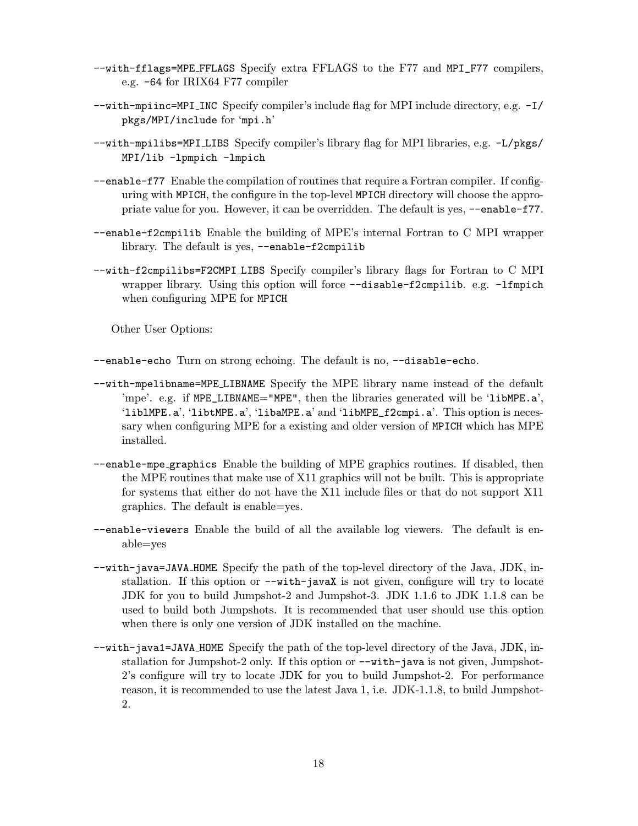- --with-fflags=MPE FFLAGS Specify extra FFLAGS to the F77 and MPI\_F77 compilers, e.g. -64 for IRIX64 F77 compiler
- --with-mpiinc=MPI INC Specify compiler's include flag for MPI include directory, e.g. -I/ pkgs/MPI/include for 'mpi.h'
- --with-mpilibs=MPI LIBS Specify compiler's library flag for MPI libraries, e.g. -L/pkgs/ MPI/lib -lpmpich -lmpich
- --enable-f77 Enable the compilation of routines that require a Fortran compiler. If configuring with MPICH, the configure in the top-level MPICH directory will choose the appropriate value for you. However, it can be overridden. The default is yes, --enable-f77.
- --enable-f2cmpilib Enable the building of MPE's internal Fortran to C MPI wrapper library. The default is yes, --enable-f2cmpilib
- --with-f2cmpilibs=F2CMPI LIBS Specify compiler's library flags for Fortran to C MPI wrapper library. Using this option will force --disable-f2cmpilib. e.g. -lfmpich when configuring MPE for MPICH

Other User Options:

--enable-echo Turn on strong echoing. The default is no, --disable-echo.

- --with-mpelibname=MPE LIBNAME Specify the MPE library name instead of the default 'mpe'. e.g. if MPE\_LIBNAME="MPE", then the libraries generated will be 'libMPE.a', 'liblMPE.a', 'libtMPE.a', 'libaMPE.a' and 'libMPE\_f2cmpi.a'. This option is necessary when configuring MPE for a existing and older version of MPICH which has MPE installed.
- --enable-mpe graphics Enable the building of MPE graphics routines. If disabled, then the MPE routines that make use of X11 graphics will not be built. This is appropriate for systems that either do not have the X11 include files or that do not support X11 graphics. The default is enable=yes.
- --enable-viewers Enable the build of all the available log viewers. The default is enable=yes
- --with-java=JAVA HOME Specify the path of the top-level directory of the Java, JDK, installation. If this option or --with-javaX is not given, configure will try to locate JDK for you to build Jumpshot-2 and Jumpshot-3. JDK 1.1.6 to JDK 1.1.8 can be used to build both Jumpshots. It is recommended that user should use this option when there is only one version of JDK installed on the machine.
- --with-java1=JAVA HOME Specify the path of the top-level directory of the Java, JDK, installation for Jumpshot-2 only. If this option or --with-java is not given, Jumpshot-2's configure will try to locate JDK for you to build Jumpshot-2. For performance reason, it is recommended to use the latest Java 1, i.e. JDK-1.1.8, to build Jumpshot-2.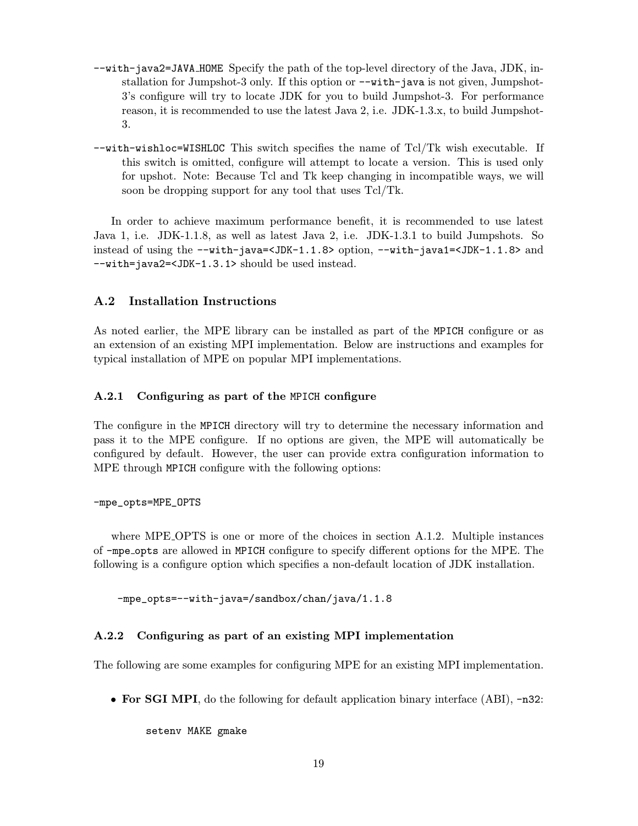- --with-java2=JAVA HOME Specify the path of the top-level directory of the Java, JDK, installation for Jumpshot-3 only. If this option or --with-java is not given, Jumpshot-3's configure will try to locate JDK for you to build Jumpshot-3. For performance reason, it is recommended to use the latest Java 2, i.e. JDK-1.3.x, to build Jumpshot-3.
- --with-wishloc=WISHLOC This switch specifies the name of Tcl/Tk wish executable. If this switch is omitted, configure will attempt to locate a version. This is used only for upshot. Note: Because Tcl and Tk keep changing in incompatible ways, we will soon be dropping support for any tool that uses Tcl/Tk.

In order to achieve maximum performance benefit, it is recommended to use latest Java 1, i.e. JDK-1.1.8, as well as latest Java 2, i.e. JDK-1.3.1 to build Jumpshots. So instead of using the --with-java=<JDK-1.1.8> option, --with-java1=<JDK-1.1.8> and --with=java2=<JDK-1.3.1> should be used instead.

#### A.2 Installation Instructions

As noted earlier, the MPE library can be installed as part of the MPICH configure or as an extension of an existing MPI implementation. Below are instructions and examples for typical installation of MPE on popular MPI implementations.

#### A.2.1 Configuring as part of the MPICH configure

The configure in the MPICH directory will try to determine the necessary information and pass it to the MPE configure. If no options are given, the MPE will automatically be configured by default. However, the user can provide extra configuration information to MPE through MPICH configure with the following options:

#### -mpe\_opts=MPE\_OPTS

where MPE OPTS is one or more of the choices in section A.1.2. Multiple instances of -mpe opts are allowed in MPICH configure to specify different options for the MPE. The following is a configure option which specifies a non-default location of JDK installation.

-mpe\_opts=--with-java=/sandbox/chan/java/1.1.8

#### A.2.2 Configuring as part of an existing MPI implementation

The following are some examples for configuring MPE for an existing MPI implementation.

• For SGI MPI, do the following for default application binary interface (ABI), -n32:

setenv MAKE gmake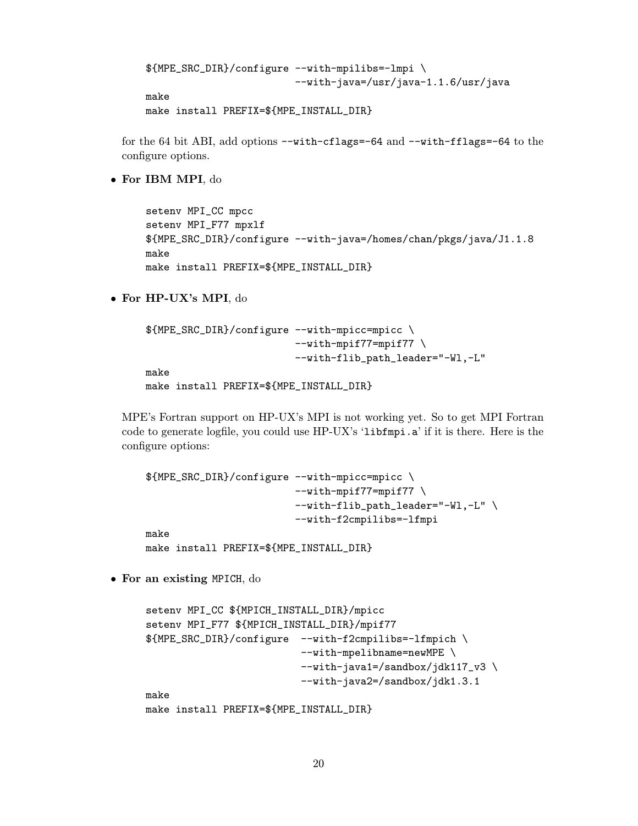\${MPE\_SRC\_DIR}/configure --with-mpilibs=-lmpi \ --with-java=/usr/java-1.1.6/usr/java make

```
make install PREFIX=${MPE_INSTALL_DIR}
```
for the 64 bit ABI, add options  $-\text{with-cflags}=64$  and  $-\text{with-fflags}=64$  to the configure options.

• For IBM MPI, do

```
setenv MPI_CC mpcc
setenv MPI_F77 mpxlf
${MPE_SRC_DIR}/configure --with-java=/homes/chan/pkgs/java/J1.1.8
make
make install PREFIX=${MPE_INSTALL_DIR}
```
• For HP-UX's MPI, do

```
${MPE_SRC_DIR}/configure --with-mpicc=mpicc \
                         --with-mpif77=mpif77 \
                         --with-flib_path_leader="-Wl,-L"
make
make install PREFIX=${MPE_INSTALL_DIR}
```
MPE's Fortran support on HP-UX's MPI is not working yet. So to get MPI Fortran code to generate logfile, you could use HP-UX's 'libfmpi.a' if it is there. Here is the configure options:

```
${MPE_SRC_DIR}/configure --with-mpicc=mpicc \
                         --with-mpif77=mpif77 \
                         --with-flib_path_leader="-Wl,-L" \
                         --with-f2cmpilibs=-lfmpi
make
make install PREFIX=${MPE_INSTALL_DIR}
```
• For an existing MPICH, do

```
setenv MPI_CC ${MPICH_INSTALL_DIR}/mpicc
setenv MPI_F77 ${MPICH_INSTALL_DIR}/mpif77
${MPE_SRC_DIR}/configure --with-f2cmpilibs=-lfmpich \
                          --with-mpelibname=newMPE \
                          --with-java1=/sandbox/jdk117_v3 \
                          --with-java2=/sandbox/jdk1.3.1
make
make install PREFIX=${MPE_INSTALL_DIR}
```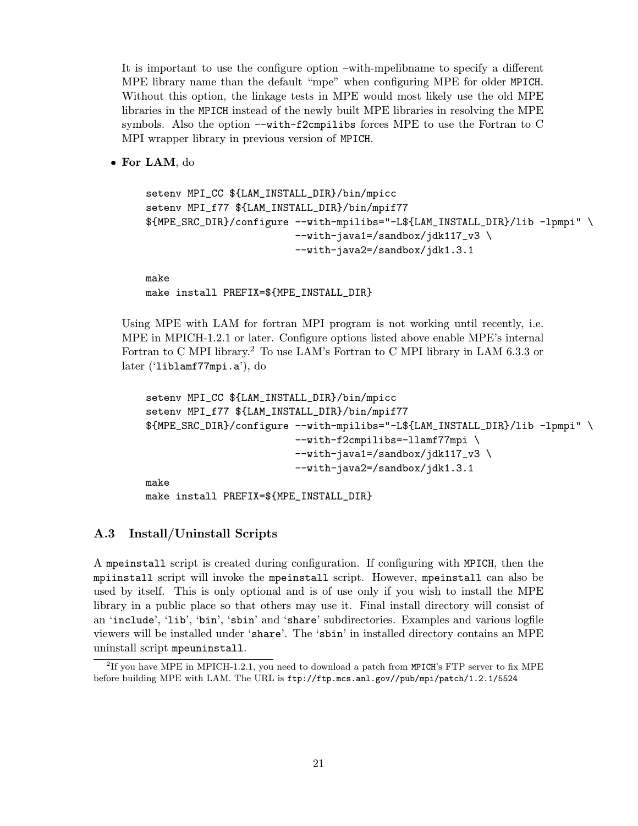It is important to use the configure option –with-mpelibname to specify a different MPE library name than the default "mpe" when configuring MPE for older MPICH. Without this option, the linkage tests in MPE would most likely use the old MPE libraries in the MPICH instead of the newly built MPE libraries in resolving the MPE symbols. Also the option --with-f2cmpilibs forces MPE to use the Fortran to C MPI wrapper library in previous version of MPICH.

• For LAM, do

```
setenv MPI_CC ${LAM_INSTALL_DIR}/bin/mpicc
setenv MPI_f77 ${LAM_INSTALL_DIR}/bin/mpif77
${MPE_SRC_DIR}/configure --with-mpilibs="-L${LAM_INSTALL_DIR}/lib -lpmpi" \
                         --with-java1=/sandbox/jdk117_v3 \
                         --with-java2=/sandbox/jdk1.3.1
make
```
make install PREFIX=\${MPE\_INSTALL\_DIR}

Using MPE with LAM for fortran MPI program is not working until recently, i.e. MPE in MPICH-1.2.1 or later. Configure options listed above enable MPE's internal Fortran to C MPI library.<sup>2</sup> To use LAM's Fortran to C MPI library in LAM 6.3.3 or later ('liblamf77mpi.a'), do

```
setenv MPI_CC ${LAM_INSTALL_DIR}/bin/mpicc
setenv MPI_f77 ${LAM_INSTALL_DIR}/bin/mpif77
${MPE_SRC_DIR}/configure --with-mpilibs="-L${LAM_INSTALL_DIR}/lib -lpmpi" \
                         --with-f2cmpilibs=-llamf77mpi \
                         --with-java1=/sandbox/jdk117_v3 \
                         --with-java2=/sandbox/jdk1.3.1
make
make install PREFIX=${MPE_INSTALL_DIR}
```
#### A.3 Install/Uninstall Scripts

A mpeinstall script is created during configuration. If configuring with MPICH, then the mpiinstall script will invoke the mpeinstall script. However, mpeinstall can also be used by itself. This is only optional and is of use only if you wish to install the MPE library in a public place so that others may use it. Final install directory will consist of an 'include', 'lib', 'bin', 'sbin' and 'share' subdirectories. Examples and various logfile viewers will be installed under 'share'. The 'sbin' in installed directory contains an MPE uninstall script mpeuninstall.

<sup>&</sup>lt;sup>2</sup>If you have MPE in MPICH-1.2.1, you need to download a patch from MPICH's FTP server to fix MPE before building MPE with LAM. The URL is ftp://ftp.mcs.anl.gov//pub/mpi/patch/1.2.1/5524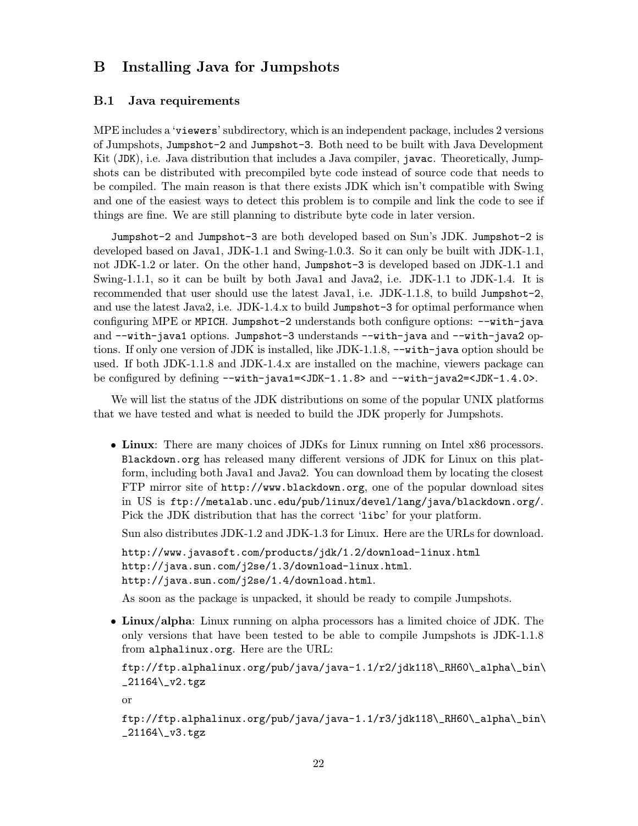## B Installing Java for Jumpshots

#### B.1 Java requirements

MPE includes a 'viewers' subdirectory, which is an independent package, includes 2 versions of Jumpshots, Jumpshot-2 and Jumpshot-3. Both need to be built with Java Development Kit (JDK), i.e. Java distribution that includes a Java compiler, javac. Theoretically, Jumpshots can be distributed with precompiled byte code instead of source code that needs to be compiled. The main reason is that there exists JDK which isn't compatible with Swing and one of the easiest ways to detect this problem is to compile and link the code to see if things are fine. We are still planning to distribute byte code in later version.

Jumpshot-2 and Jumpshot-3 are both developed based on Sun's JDK. Jumpshot-2 is developed based on Java1, JDK-1.1 and Swing-1.0.3. So it can only be built with JDK-1.1, not JDK-1.2 or later. On the other hand, Jumpshot-3 is developed based on JDK-1.1 and Swing-1.1.1, so it can be built by both Java1 and Java2, i.e. JDK-1.1 to JDK-1.4. It is recommended that user should use the latest Java1, i.e. JDK-1.1.8, to build Jumpshot-2, and use the latest Java2, i.e. JDK-1.4.x to build Jumpshot-3 for optimal performance when configuring MPE or MPICH. Jumpshot-2 understands both configure options: --with-java and --with-java1 options. Jumpshot-3 understands --with-java and --with-java2 options. If only one version of JDK is installed, like JDK-1.1.8, --with-java option should be used. If both JDK-1.1.8 and JDK-1.4.x are installed on the machine, viewers package can be configured by defining --with-java1=<JDK-1.1.8> and --with-java2=<JDK-1.4.0>.

We will list the status of the JDK distributions on some of the popular UNIX platforms that we have tested and what is needed to build the JDK properly for Jumpshots.

• Linux: There are many choices of JDKs for Linux running on Intel x86 processors. Blackdown.org has released many different versions of JDK for Linux on this platform, including both Java1 and Java2. You can download them by locating the closest FTP mirror site of http://www.blackdown.org, one of the popular download sites in US is ftp://metalab.unc.edu/pub/linux/devel/lang/java/blackdown.org/. Pick the JDK distribution that has the correct 'libc' for your platform.

Sun also distributes JDK-1.2 and JDK-1.3 for Linux. Here are the URLs for download.

```
http://www.javasoft.com/products/jdk/1.2/download-linux.html
http://java.sun.com/j2se/1.3/download-linux.html.
http://java.sun.com/j2se/1.4/download.html.
```
As soon as the package is unpacked, it should be ready to compile Jumpshots.

• Linux/alpha: Linux running on alpha processors has a limited choice of JDK. The only versions that have been tested to be able to compile Jumpshots is JDK-1.1.8 from alphalinux.org. Here are the URL:

```
ftp://ftp.alphalinux.org/pub/java/java-1.1/r2/jdk118\_RH60\_alpha\_bin\
_21164\_v2.tgz
```
or

```
ftp://ftp.alphalinux.org/pub/java/java-1.1/r3/jdk118\_RH60\_alpha\_bin\
_{21164\}_{\text{v3.tgz}}
```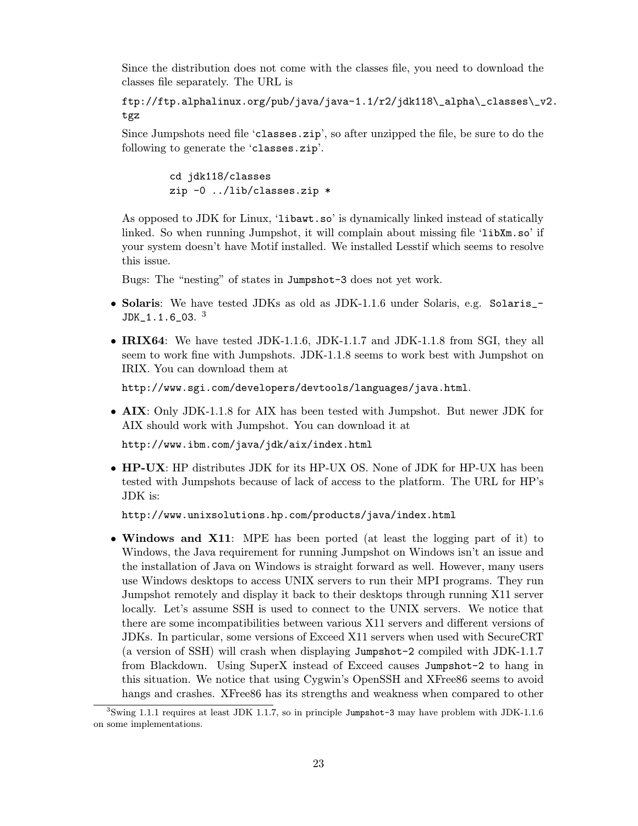Since the distribution does not come with the classes file, you need to download the classes file separately. The URL is

ftp://ftp.alphalinux.org/pub/java/java-1.1/r2/jdk118\\_alpha\\_classes\\_v2. tgz

Since Jumpshots need file 'classes.zip', so after unzipped the file, be sure to do the following to generate the 'classes.zip'.

> cd jdk118/classes zip -0 ../lib/classes.zip \*

As opposed to JDK for Linux, 'libawt.so' is dynamically linked instead of statically linked. So when running Jumpshot, it will complain about missing file 'libXm.so' if your system doesn't have Motif installed. We installed Lesstif which seems to resolve this issue.

Bugs: The "nesting" of states in Jumpshot-3 does not yet work.

- Solaris: We have tested JDKs as old as JDK-1.1.6 under Solaris, e.g. Solaris\_-  $JDK\_1.1.6\_03.$   $^3$
- IRIX64: We have tested JDK-1.1.6, JDK-1.1.7 and JDK-1.1.8 from SGI, they all seem to work fine with Jumpshots. JDK-1.1.8 seems to work best with Jumpshot on IRIX. You can download them at

http://www.sgi.com/developers/devtools/languages/java.html.

• AIX: Only JDK-1.1.8 for AIX has been tested with Jumpshot. But newer JDK for AIX should work with Jumpshot. You can download it at

http://www.ibm.com/java/jdk/aix/index.html

• **HP-UX**: HP distributes JDK for its HP-UX OS. None of JDK for HP-UX has been tested with Jumpshots because of lack of access to the platform. The URL for HP's JDK is:

http://www.unixsolutions.hp.com/products/java/index.html

• Windows and X11: MPE has been ported (at least the logging part of it) to Windows, the Java requirement for running Jumpshot on Windows isn't an issue and the installation of Java on Windows is straight forward as well. However, many users use Windows desktops to access UNIX servers to run their MPI programs. They run Jumpshot remotely and display it back to their desktops through running X11 server locally. Let's assume SSH is used to connect to the UNIX servers. We notice that there are some incompatibilities between various X11 servers and different versions of JDKs. In particular, some versions of Exceed X11 servers when used with SecureCRT (a version of SSH) will crash when displaying Jumpshot-2 compiled with JDK-1.1.7 from Blackdown. Using SuperX instead of Exceed causes Jumpshot-2 to hang in this situation. We notice that using Cygwin's OpenSSH and XFree86 seems to avoid hangs and crashes. XFree86 has its strengths and weakness when compared to other

<sup>&</sup>lt;sup>3</sup>Swing 1.1.1 requires at least JDK 1.1.7, so in principle Jumpshot-3 may have problem with JDK-1.1.6 on some implementations.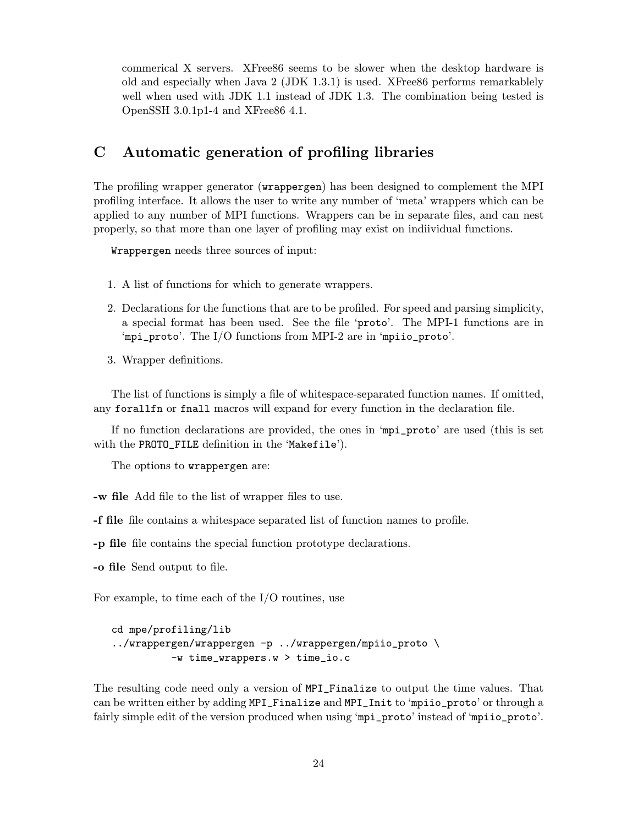commerical X servers. XFree86 seems to be slower when the desktop hardware is old and especially when Java 2 (JDK 1.3.1) is used. XFree86 performs remarkablely well when used with JDK 1.1 instead of JDK 1.3. The combination being tested is OpenSSH 3.0.1p1-4 and XFree86 4.1.

## C Automatic generation of profiling libraries

The profiling wrapper generator (wrappergen) has been designed to complement the MPI profiling interface. It allows the user to write any number of 'meta' wrappers which can be applied to any number of MPI functions. Wrappers can be in separate files, and can nest properly, so that more than one layer of profiling may exist on indiividual functions.

Wrappergen needs three sources of input:

- 1. A list of functions for which to generate wrappers.
- 2. Declarations for the functions that are to be profiled. For speed and parsing simplicity, a special format has been used. See the file 'proto'. The MPI-1 functions are in 'mpi\_proto'. The I/O functions from MPI-2 are in 'mpiio\_proto'.
- 3. Wrapper definitions.

The list of functions is simply a file of whitespace-separated function names. If omitted, any forallfn or fnall macros will expand for every function in the declaration file.

If no function declarations are provided, the ones in 'mpi\_proto' are used (this is set with the PROTO\_FILE definition in the 'Makefile').

The options to wrappergen are:

-w file Add file to the list of wrapper files to use.

-f file file contains a whitespace separated list of function names to profile.

-p file file contains the special function prototype declarations.

-o file Send output to file.

For example, to time each of the I/O routines, use

```
cd mpe/profiling/lib
../wrappergen/wrappergen -p ../wrappergen/mpiio_proto \
          -w time_wrappers.w > time_io.c
```
The resulting code need only a version of MPI\_Finalize to output the time values. That can be written either by adding MPI\_Finalize and MPI\_Init to 'mpiio\_proto' or through a fairly simple edit of the version produced when using 'mpi\_proto' instead of 'mpiio\_proto'.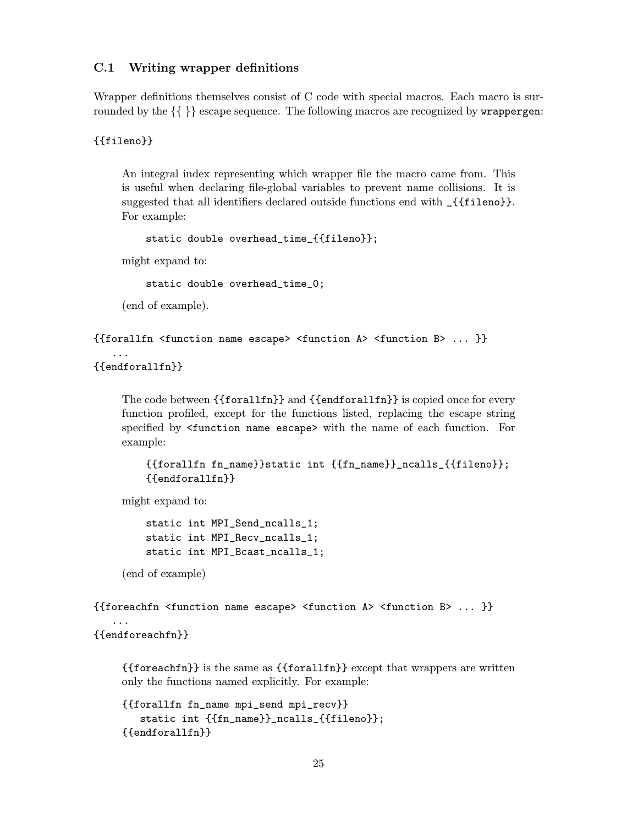### C.1 Writing wrapper definitions

Wrapper definitions themselves consist of C code with special macros. Each macro is surrounded by the  $\{\}\$  escape sequence. The following macros are recognized by **wrappergen:** 

{{fileno}}

An integral index representing which wrapper file the macro came from. This is useful when declaring file-global variables to prevent name collisions. It is suggested that all identifiers declared outside functions end with \_{{fileno}}. For example:

```
static double overhead_time_{{fileno}};
```
might expand to:

static double overhead\_time\_0;

(end of example).

```
{{forallfn <function name escape> <function A> <function B> ... }}
```

```
{{endforallfn}}
```
...

The code between {{forallfn}} and {{endforallfn}} is copied once for every function profiled, except for the functions listed, replacing the escape string specified by <function name escape> with the name of each function. For example:

```
{{forallfn fn_name}}static int {{fn_name}}_ncalls_{{fileno}};
{{endforallfn}}
```
might expand to:

```
static int MPI_Send_ncalls_1;
static int MPI_Recv_ncalls_1;
static int MPI_Bcast_ncalls_1;
```
(end of example)

```
{{foreachfn <function name escape> <function A> <function B> ... }}
```
{{endforeachfn}}

...

{{foreachfn}} is the same as {{forallfn}} except that wrappers are written only the functions named explicitly. For example:

```
{{forallfn fn_name mpi_send mpi_recv}}
   static int {{fn_name}}_ncalls_{{fileno}};
{{endforallfn}}
```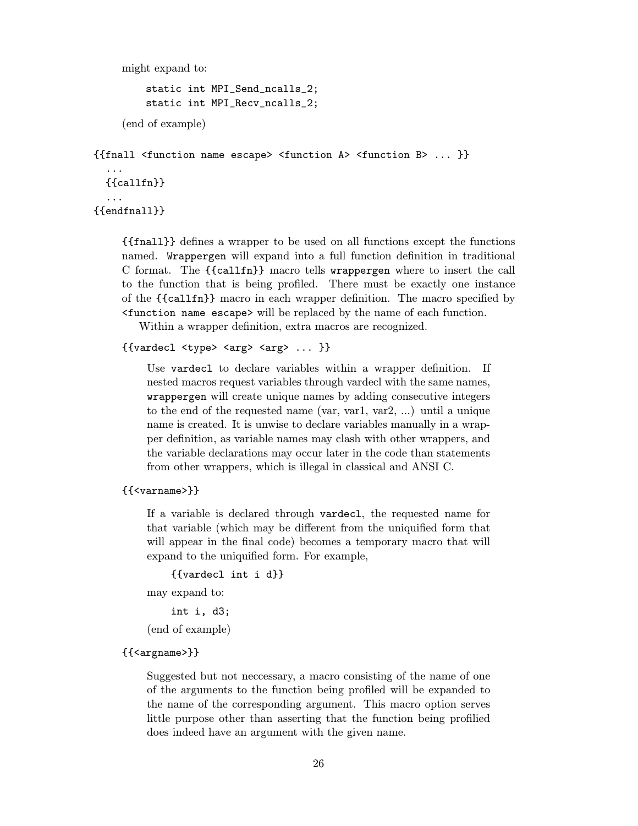might expand to:

```
static int MPI_Send_ncalls_2;
static int MPI_Recv_ncalls_2;
```
(end of example)

```
{{fnall <function name escape> <function A> <function B> ... }}
```
{{callfn}}

... {{endfnall}}

...

{{fnall}} defines a wrapper to be used on all functions except the functions named. Wrappergen will expand into a full function definition in traditional C format. The {{callfn}} macro tells wrappergen where to insert the call to the function that is being profiled. There must be exactly one instance of the {{callfn}} macro in each wrapper definition. The macro specified by <function name escape> will be replaced by the name of each function.

Within a wrapper definition, extra macros are recognized.

```
{\{varepsilon\} \leq t} <type> <arg> <arg> ... }}
```
Use vardecl to declare variables within a wrapper definition. If nested macros request variables through vardecl with the same names, wrappergen will create unique names by adding consecutive integers to the end of the requested name (var, var1, var2, ...) until a unique name is created. It is unwise to declare variables manually in a wrapper definition, as variable names may clash with other wrappers, and the variable declarations may occur later in the code than statements from other wrappers, which is illegal in classical and ANSI C.

#### {{<varname>}}

If a variable is declared through vardecl, the requested name for that variable (which may be different from the uniquified form that will appear in the final code) becomes a temporary macro that will expand to the uniquified form. For example,

```
{{vardecl int i d}}
```
may expand to:

```
int i, d3;
```
(end of example)

#### {{<argname>}}

Suggested but not neccessary, a macro consisting of the name of one of the arguments to the function being profiled will be expanded to the name of the corresponding argument. This macro option serves little purpose other than asserting that the function being profilied does indeed have an argument with the given name.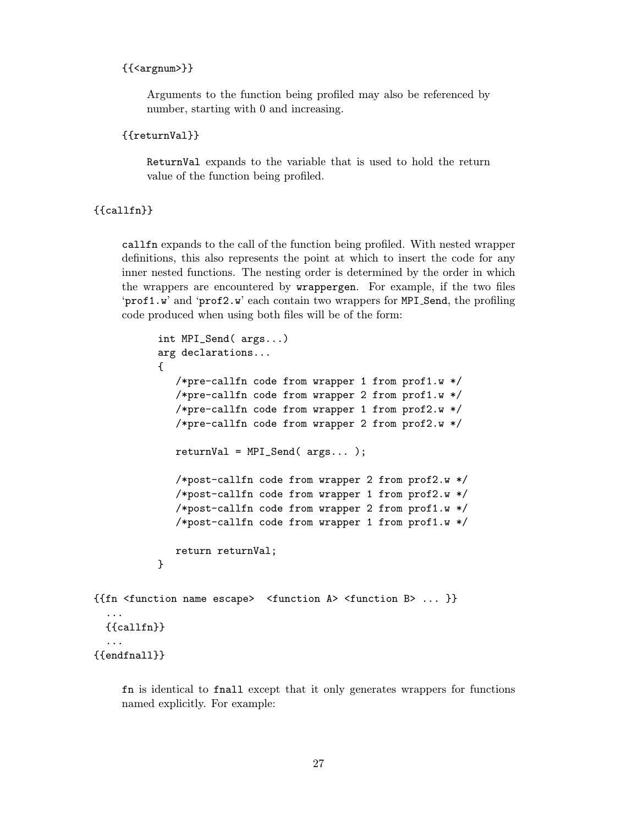#### {{<argnum>}}

Arguments to the function being profiled may also be referenced by number, starting with 0 and increasing.

```
{{returnVal}}
```
ReturnVal expands to the variable that is used to hold the return value of the function being profiled.

#### {{callfn}}

callfn expands to the call of the function being profiled. With nested wrapper definitions, this also represents the point at which to insert the code for any inner nested functions. The nesting order is determined by the order in which the wrappers are encountered by wrappergen. For example, if the two files 'prof1.w' and 'prof2.w' each contain two wrappers for MPI Send, the profiling code produced when using both files will be of the form:

```
int MPI_Send( args...)
          arg declarations...
          {
             /*pre-callfn code from wrapper 1 from prof1.w */
             /*pre-callfn code from wrapper 2 from prof1.w */
             /*pre-callfn code from wrapper 1 from prof2.w */
             /*pre-callfn code from wrapper 2 from prof2.w */
             returnVal = MPI\_Send( args...);/*post-callfn code from wrapper 2 from prof2.w */
             /*post-callfn code from wrapper 1 from prof2.w */
             /*post-callfn code from wrapper 2 from prof1.w */
             /*post-callfn code from wrapper 1 from prof1.w */
             return returnVal;
          }
{{fn <function name escape> <function A> <function B> ... }}
  ...
 {{callfn}}
  ...
{{endfnall}}
```
fn is identical to fnall except that it only generates wrappers for functions named explicitly. For example: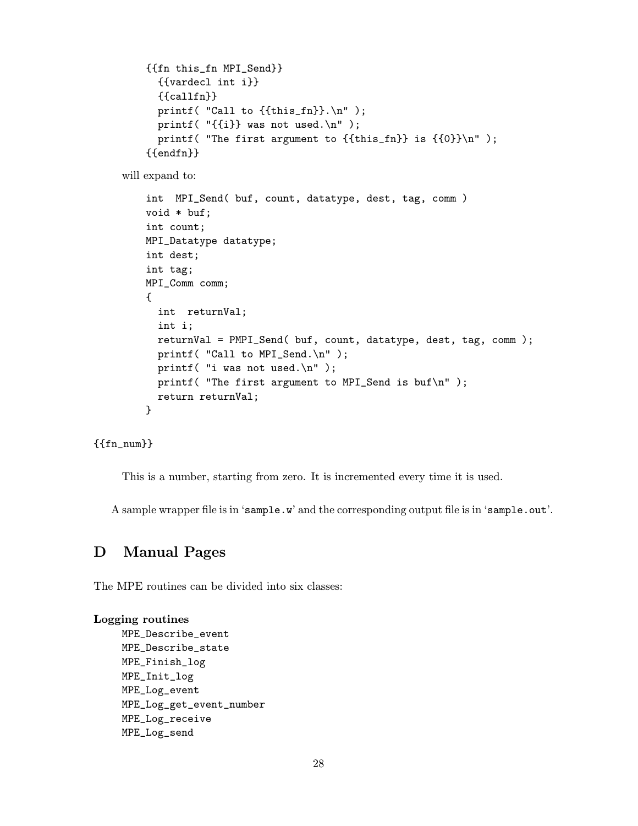```
{{fn this_fn MPI_Send}}
  {{vardecl int i}}
  {{callfn}}
  printf( "Call to \{ \{ \text{this_fn} \}. \n\| \);
 printf( "\{i\} was not used.\n" );
  printf( "The first argument to {{this_fn}} is {{0}}\n" );
{{endfn}}
```
will expand to:

```
int MPI_Send( buf, count, datatype, dest, tag, comm )
void * buf;
int count;
MPI_Datatype datatype;
int dest;
int tag;
MPI_Comm comm;
{
  int returnVal;
  int i;
  returnVal = PMPI_Send( buf, count, datatype, dest, tag, comm );
  printf( "Call to MPI_Send.\n" );
  printf( "i was not used.\n \n \begin{bmatrix}\n 1 \\
 2\n \end{bmatrix}printf( "The first argument to MPI_Send is buf\n" );
  return returnVal;
}
```
{{fn\_num}}

This is a number, starting from zero. It is incremented every time it is used.

A sample wrapper file is in 'sample.w' and the corresponding output file is in 'sample.out'.

## D Manual Pages

The MPE routines can be divided into six classes:

#### Logging routines

MPE\_Describe\_event MPE\_Describe\_state MPE\_Finish\_log MPE\_Init\_log MPE\_Log\_event MPE\_Log\_get\_event\_number MPE\_Log\_receive MPE\_Log\_send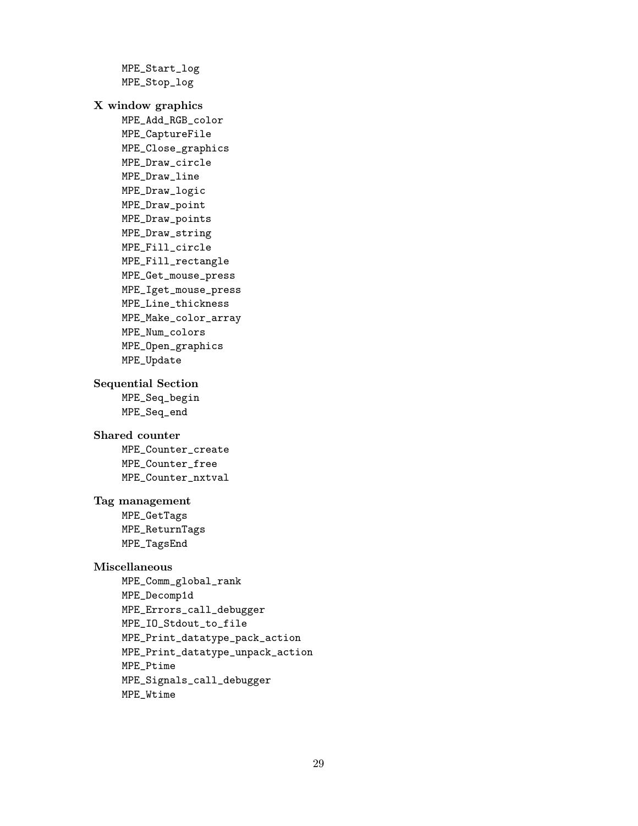MPE\_Start\_log MPE\_Stop\_log X window graphics MPE\_Add\_RGB\_color MPE\_CaptureFile MPE\_Close\_graphics MPE\_Draw\_circle MPE\_Draw\_line MPE\_Draw\_logic MPE\_Draw\_point MPE\_Draw\_points MPE\_Draw\_string MPE\_Fill\_circle MPE\_Fill\_rectangle MPE\_Get\_mouse\_press MPE\_Iget\_mouse\_press MPE\_Line\_thickness MPE\_Make\_color\_array MPE\_Num\_colors MPE\_Open\_graphics MPE\_Update Sequential Section MPE\_Seq\_begin MPE\_Seq\_end Shared counter MPE\_Counter\_create MPE\_Counter\_free MPE\_Counter\_nxtval Tag management MPE\_GetTags MPE\_ReturnTags MPE\_TagsEnd Miscellaneous MPE\_Comm\_global\_rank MPE\_Decomp1d MPE\_Errors\_call\_debugger MPE\_IO\_Stdout\_to\_file MPE\_Print\_datatype\_pack\_action MPE\_Print\_datatype\_unpack\_action MPE\_Ptime MPE\_Signals\_call\_debugger

MPE\_Wtime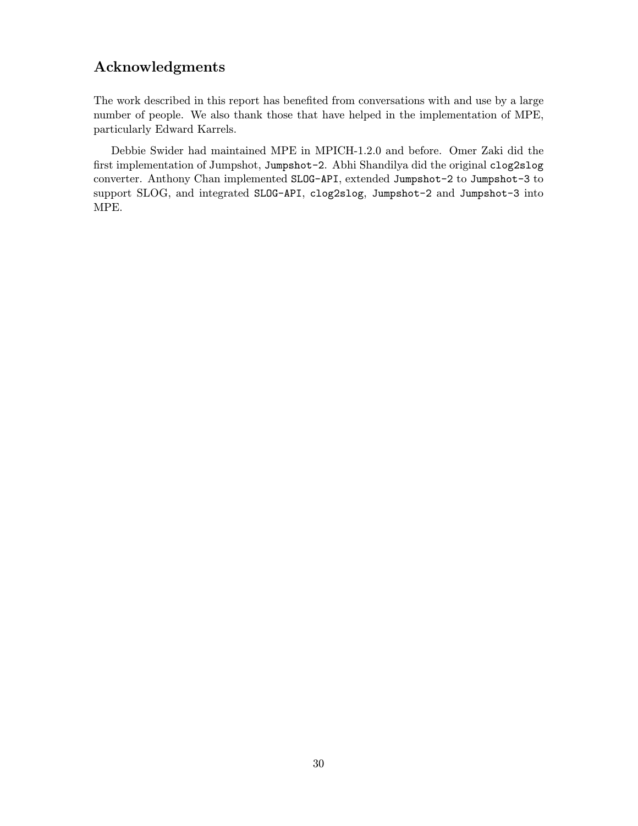## Acknowledgments

The work described in this report has benefited from conversations with and use by a large number of people. We also thank those that have helped in the implementation of MPE, particularly Edward Karrels.

Debbie Swider had maintained MPE in MPICH-1.2.0 and before. Omer Zaki did the first implementation of Jumpshot, Jumpshot-2. Abhi Shandilya did the original clog2slog converter. Anthony Chan implemented SLOG-API, extended Jumpshot-2 to Jumpshot-3 to support SLOG, and integrated SLOG-API, clog2slog, Jumpshot-2 and Jumpshot-3 into MPE.